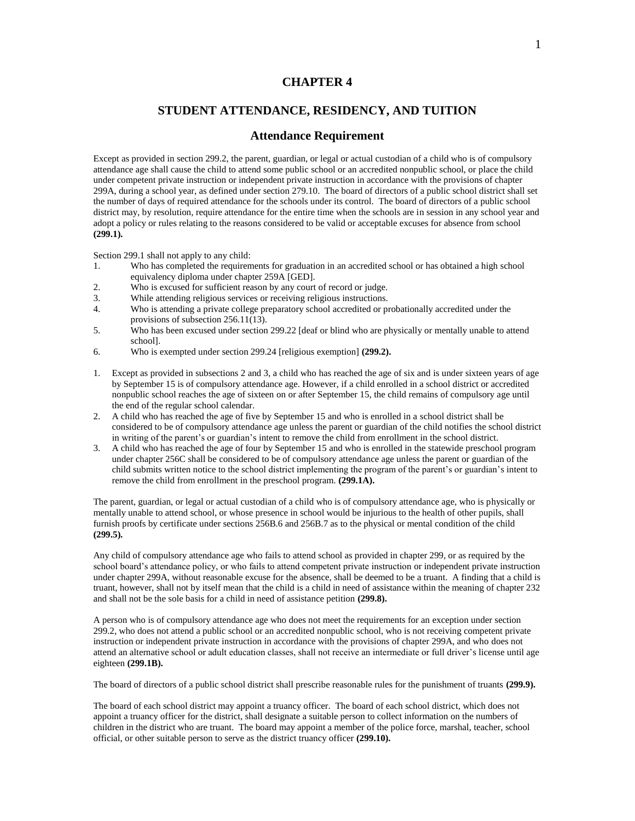## **CHAPTER 4**

# **STUDENT ATTENDANCE, RESIDENCY, AND TUITION**

## **Attendance Requirement**

Except as provided in section 299.2, the parent, guardian, or legal or actual custodian of a child who is of compulsory attendance age shall cause the child to attend some public school or an accredited nonpublic school, or place the child under competent private instruction or independent private instruction in accordance with the provisions of chapter 299A, during a school year, as defined under section 279.10. The board of directors of a public school district shall set the number of days of required attendance for the schools under its control. The board of directors of a public school district may, by resolution, require attendance for the entire time when the schools are in session in any school year and adopt a policy or rules relating to the reasons considered to be valid or acceptable excuses for absence from school **(299.1).**

Section 299.1 shall not apply to any child:

- 1. Who has completed the requirements for graduation in an accredited school or has obtained a high school equivalency diploma under chapter 259A [GED].
- 2. Who is excused for sufficient reason by any court of record or judge.
- 3. While attending religious services or receiving religious instructions.
- 4. Who is attending a private college preparatory school accredited or probationally accredited under the provisions of subsection 256.11(13).
- 5. Who has been excused under section 299.22 [deaf or blind who are physically or mentally unable to attend school].
- 6. Who is exempted under section 299.24 [religious exemption] **(299.2).**
- 1. Except as provided in subsections 2 and 3, a child who has reached the age of six and is under sixteen years of age by September 15 is of compulsory attendance age. However, if a child enrolled in a school district or accredited nonpublic school reaches the age of sixteen on or after September 15, the child remains of compulsory age until the end of the regular school calendar.
- 2. A child who has reached the age of five by September 15 and who is enrolled in a school district shall be considered to be of compulsory attendance age unless the parent or guardian of the child notifies the school district in writing of the parent's or guardian's intent to remove the child from enrollment in the school district.
- 3. A child who has reached the age of four by September 15 and who is enrolled in the statewide preschool program under chapter 256C shall be considered to be of compulsory attendance age unless the parent or guardian of the child submits written notice to the school district implementing the program of the parent's or guardian's intent to remove the child from enrollment in the preschool program. **(299.1A).**

The parent, guardian, or legal or actual custodian of a child who is of compulsory attendance age, who is physically or mentally unable to attend school, or whose presence in school would be injurious to the health of other pupils, shall furnish proofs by certificate under sections 256B.6 and 256B.7 as to the physical or mental condition of the child **(299.5).**

Any child of compulsory attendance age who fails to attend school as provided in chapter 299, or as required by the school board's attendance policy, or who fails to attend competent private instruction or independent private instruction under chapter 299A, without reasonable excuse for the absence, shall be deemed to be a truant. A finding that a child is truant, however, shall not by itself mean that the child is a child in need of assistance within the meaning of chapter 232 and shall not be the sole basis for a child in need of assistance petition **(299.8).**

A person who is of compulsory attendance age who does not meet the requirements for an exception under section 299.2, who does not attend a public school or an accredited nonpublic school, who is not receiving competent private instruction or independent private instruction in accordance with the provisions of chapter 299A, and who does not attend an alternative school or adult education classes, shall not receive an intermediate or full driver's license until age eighteen **(299.1B).**

The board of directors of a public school district shall prescribe reasonable rules for the punishment of truants **(299.9).**

The board of each school district may appoint a truancy officer. The board of each school district, which does not appoint a truancy officer for the district, shall designate a suitable person to collect information on the numbers of children in the district who are truant. The board may appoint a member of the police force, marshal, teacher, school official, or other suitable person to serve as the district truancy officer **(299.10).**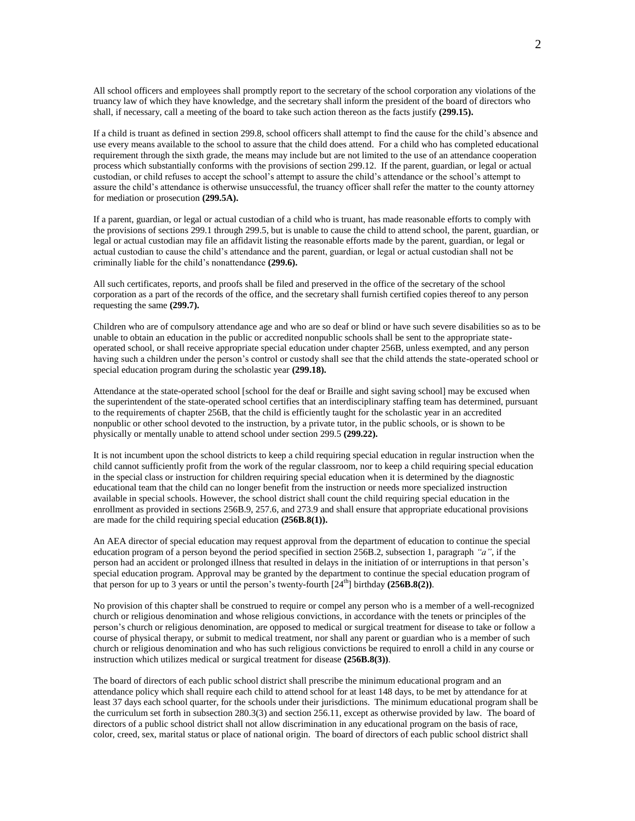All school officers and employees shall promptly report to the secretary of the school corporation any violations of the truancy law of which they have knowledge, and the secretary shall inform the president of the board of directors who shall, if necessary, call a meeting of the board to take such action thereon as the facts justify **(299.15).**

If a child is truant as defined in section 299.8, school officers shall attempt to find the cause for the child's absence and use every means available to the school to assure that the child does attend. For a child who has completed educational requirement through the sixth grade, the means may include but are not limited to the use of an attendance cooperation process which substantially conforms with the provisions of section 299.12. If the parent, guardian, or legal or actual custodian, or child refuses to accept the school's attempt to assure the child's attendance or the school's attempt to assure the child's attendance is otherwise unsuccessful, the truancy officer shall refer the matter to the county attorney for mediation or prosecution **(299.5A).**

If a parent, guardian, or legal or actual custodian of a child who is truant, has made reasonable efforts to comply with the provisions of sections 299.1 through 299.5, but is unable to cause the child to attend school, the parent, guardian, or legal or actual custodian may file an affidavit listing the reasonable efforts made by the parent, guardian, or legal or actual custodian to cause the child's attendance and the parent, guardian, or legal or actual custodian shall not be criminally liable for the child's nonattendance **(299.6).**

All such certificates, reports, and proofs shall be filed and preserved in the office of the secretary of the school corporation as a part of the records of the office, and the secretary shall furnish certified copies thereof to any person requesting the same **(299.7).**

Children who are of compulsory attendance age and who are so deaf or blind or have such severe disabilities so as to be unable to obtain an education in the public or accredited nonpublic schools shall be sent to the appropriate stateoperated school, or shall receive appropriate special education under chapter 256B, unless exempted, and any person having such a children under the person's control or custody shall see that the child attends the state-operated school or special education program during the scholastic year **(299.18).**

Attendance at the state-operated school [school for the deaf or Braille and sight saving school] may be excused when the superintendent of the state-operated school certifies that an interdisciplinary staffing team has determined, pursuant to the requirements of chapter 256B, that the child is efficiently taught for the scholastic year in an accredited nonpublic or other school devoted to the instruction, by a private tutor, in the public schools, or is shown to be physically or mentally unable to attend school under section 299.5 **(299.22).**

It is not incumbent upon the school districts to keep a child requiring special education in regular instruction when the child cannot sufficiently profit from the work of the regular classroom, nor to keep a child requiring special education in the special class or instruction for children requiring special education when it is determined by the diagnostic educational team that the child can no longer benefit from the instruction or needs more specialized instruction available in special schools. However, the school district shall count the child requiring special education in the enrollment as provided in sections 256B.9, 257.6, and 273.9 and shall ensure that appropriate educational provisions are made for the child requiring special education **(256B.8(1)).**

An AEA director of special education may request approval from the department of education to continue the special education program of a person beyond the period specified in section 256B.2, subsection 1, paragraph *"a"*, if the person had an accident or prolonged illness that resulted in delays in the initiation of or interruptions in that person's special education program. Approval may be granted by the department to continue the special education program of that person for up to 3 years or until the person's twenty-fourth  $[24<sup>th</sup>]$  birthday  $(256B.8(2))$ .

No provision of this chapter shall be construed to require or compel any person who is a member of a well-recognized church or religious denomination and whose religious convictions, in accordance with the tenets or principles of the person's church or religious denomination, are opposed to medical or surgical treatment for disease to take or follow a course of physical therapy, or submit to medical treatment, nor shall any parent or guardian who is a member of such church or religious denomination and who has such religious convictions be required to enroll a child in any course or instruction which utilizes medical or surgical treatment for disease **(256B.8(3))**.

The board of directors of each public school district shall prescribe the minimum educational program and an attendance policy which shall require each child to attend school for at least 148 days, to be met by attendance for at least 37 days each school quarter, for the schools under their jurisdictions. The minimum educational program shall be the curriculum set forth in subsection 280.3(3) and section 256.11, except as otherwise provided by law. The board of directors of a public school district shall not allow discrimination in any educational program on the basis of race, color, creed, sex, marital status or place of national origin. The board of directors of each public school district shall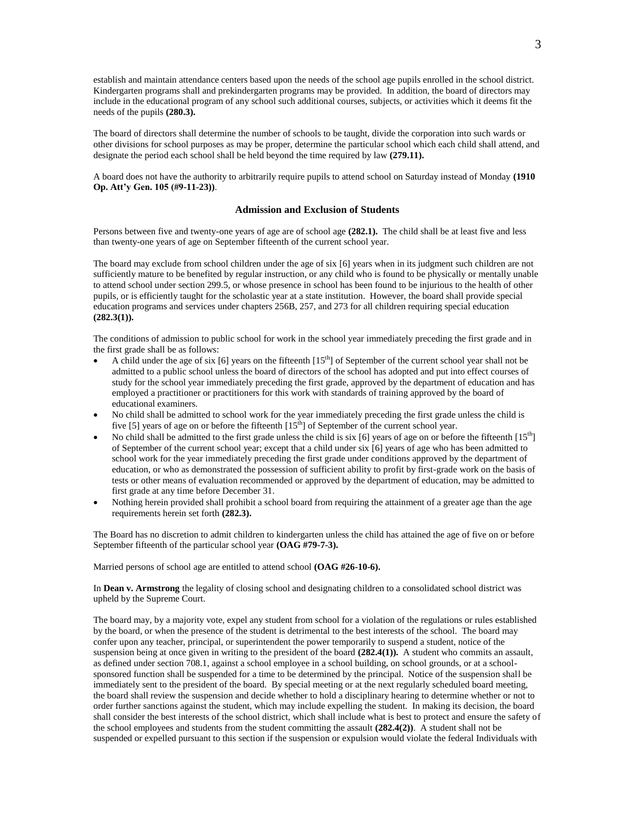establish and maintain attendance centers based upon the needs of the school age pupils enrolled in the school district. Kindergarten programs shall and prekindergarten programs may be provided. In addition, the board of directors may include in the educational program of any school such additional courses, subjects, or activities which it deems fit the needs of the pupils **(280.3).**

The board of directors shall determine the number of schools to be taught, divide the corporation into such wards or other divisions for school purposes as may be proper, determine the particular school which each child shall attend, and designate the period each school shall be held beyond the time required by law **(279.11).**

A board does not have the authority to arbitrarily require pupils to attend school on Saturday instead of Monday **(1910 Op. Att'y Gen. 105 (#9-11-23))**.

#### **Admission and Exclusion of Students**

Persons between five and twenty-one years of age are of school age **(282.1).** The child shall be at least five and less than twenty-one years of age on September fifteenth of the current school year.

The board may exclude from school children under the age of six [6] years when in its judgment such children are not sufficiently mature to be benefited by regular instruction, or any child who is found to be physically or mentally unable to attend school under section 299.5, or whose presence in school has been found to be injurious to the health of other pupils, or is efficiently taught for the scholastic year at a state institution. However, the board shall provide special education programs and services under chapters 256B, 257, and 273 for all children requiring special education **(282.3(1)).**

The conditions of admission to public school for work in the school year immediately preceding the first grade and in the first grade shall be as follows:

- A child under the age of six  $[6]$  years on the fifteenth  $[15<sup>th</sup>]$  of September of the current school year shall not be admitted to a public school unless the board of directors of the school has adopted and put into effect courses of study for the school year immediately preceding the first grade, approved by the department of education and has employed a practitioner or practitioners for this work with standards of training approved by the board of educational examiners.
- No child shall be admitted to school work for the year immediately preceding the first grade unless the child is five [5] years of age on or before the fifteenth [15<sup>th</sup>] of September of the current school year.
- No child shall be admitted to the first grade unless the child is six [6] years of age on or before the fifteenth [15<sup>th</sup>] of September of the current school year; except that a child under six [6] years of age who has been admitted to school work for the year immediately preceding the first grade under conditions approved by the department of education, or who as demonstrated the possession of sufficient ability to profit by first-grade work on the basis of tests or other means of evaluation recommended or approved by the department of education, may be admitted to first grade at any time before December 31.
- Nothing herein provided shall prohibit a school board from requiring the attainment of a greater age than the age requirements herein set forth **(282.3).**

The Board has no discretion to admit children to kindergarten unless the child has attained the age of five on or before September fifteenth of the particular school year **(OAG #79-7-3).**

Married persons of school age are entitled to attend school **(OAG #26-10-6).**

In **Dean v. Armstrong** the legality of closing school and designating children to a consolidated school district was upheld by the Supreme Court.

The board may, by a majority vote, expel any student from school for a violation of the regulations or rules established by the board, or when the presence of the student is detrimental to the best interests of the school. The board may confer upon any teacher, principal, or superintendent the power temporarily to suspend a student, notice of the suspension being at once given in writing to the president of the board **(282.4(1)).** A student who commits an assault, as defined under section 708.1, against a school employee in a school building, on school grounds, or at a schoolsponsored function shall be suspended for a time to be determined by the principal. Notice of the suspension shall be immediately sent to the president of the board. By special meeting or at the next regularly scheduled board meeting, the board shall review the suspension and decide whether to hold a disciplinary hearing to determine whether or not to order further sanctions against the student, which may include expelling the student. In making its decision, the board shall consider the best interests of the school district, which shall include what is best to protect and ensure the safety of the school employees and students from the student committing the assault **(282.4(2))**. A student shall not be suspended or expelled pursuant to this section if the suspension or expulsion would violate the federal Individuals with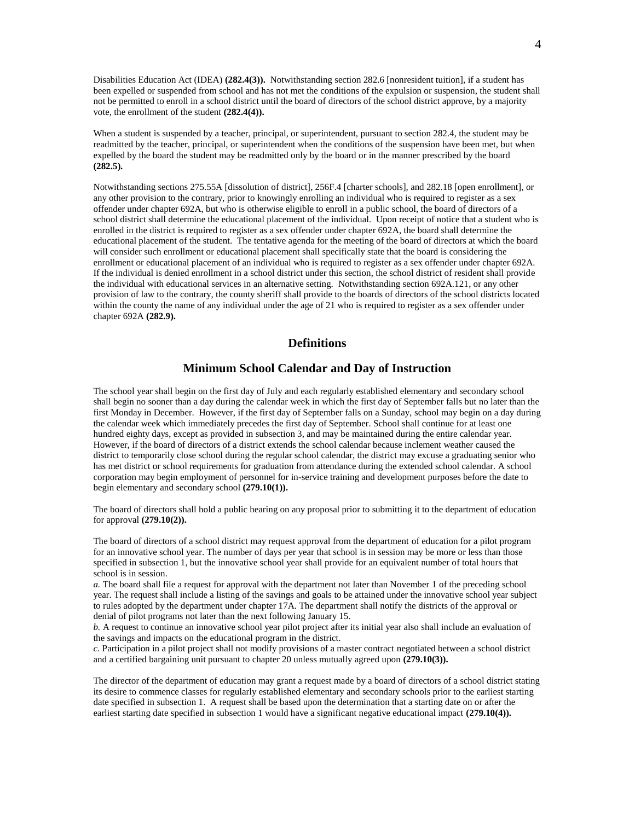Disabilities Education Act (IDEA) **(282.4(3)).** Notwithstanding section 282.6 [nonresident tuition], if a student has been expelled or suspended from school and has not met the conditions of the expulsion or suspension, the student shall not be permitted to enroll in a school district until the board of directors of the school district approve, by a majority vote, the enrollment of the student **(282.4(4)).**

When a student is suspended by a teacher, principal, or superintendent, pursuant to section 282.4, the student may be readmitted by the teacher, principal, or superintendent when the conditions of the suspension have been met, but when expelled by the board the student may be readmitted only by the board or in the manner prescribed by the board **(282.5).**

Notwithstanding sections 275.55A [dissolution of district], 256F.4 [charter schools], and 282.18 [open enrollment], or any other provision to the contrary, prior to knowingly enrolling an individual who is required to register as a sex offender under chapter 692A, but who is otherwise eligible to enroll in a public school, the board of directors of a school district shall determine the educational placement of the individual. Upon receipt of notice that a student who is enrolled in the district is required to register as a sex offender under chapter 692A, the board shall determine the educational placement of the student. The tentative agenda for the meeting of the board of directors at which the board will consider such enrollment or educational placement shall specifically state that the board is considering the enrollment or educational placement of an individual who is required to register as a sex offender under chapter 692A. If the individual is denied enrollment in a school district under this section, the school district of resident shall provide the individual with educational services in an alternative setting. Notwithstanding section 692A.121, or any other provision of law to the contrary, the county sheriff shall provide to the boards of directors of the school districts located within the county the name of any individual under the age of 21 who is required to register as a sex offender under chapter 692A **(282.9).**

### **Definitions**

### **Minimum School Calendar and Day of Instruction**

The school year shall begin on the first day of July and each regularly established elementary and secondary school shall begin no sooner than a day during the calendar week in which the first day of September falls but no later than the first Monday in December. However, if the first day of September falls on a Sunday, school may begin on a day during the calendar week which immediately precedes the first day of September. School shall continue for at least one hundred eighty days, except as provided in subsection 3, and may be maintained during the entire calendar year. However, if the board of directors of a district extends the school calendar because inclement weather caused the district to temporarily close school during the regular school calendar, the district may excuse a graduating senior who has met district or school requirements for graduation from attendance during the extended school calendar. A school corporation may begin employment of personnel for in-service training and development purposes before the date to begin elementary and secondary school **(279.10(1)).**

The board of directors shall hold a public hearing on any proposal prior to submitting it to the department of education for approval **(279.10(2)).**

The board of directors of a school district may request approval from the department of education for a pilot program for an innovative school year. The number of days per year that school is in session may be more or less than those specified in subsection 1, but the innovative school year shall provide for an equivalent number of total hours that school is in session.

*a.* The board shall file a request for approval with the department not later than November 1 of the preceding school year. The request shall include a listing of the savings and goals to be attained under the innovative school year subject to rules adopted by the department under chapter 17A. The department shall notify the districts of the approval or denial of pilot programs not later than the next following January 15.

*b.* A request to continue an innovative school year pilot project after its initial year also shall include an evaluation of the savings and impacts on the educational program in the district.

*c.* Participation in a pilot project shall not modify provisions of a master contract negotiated between a school district and a certified bargaining unit pursuant to chapter 20 unless mutually agreed upon **(279.10(3)).**

The director of the department of education may grant a request made by a board of directors of a school district stating its desire to commence classes for regularly established elementary and secondary schools prior to the earliest starting date specified in subsection 1. A request shall be based upon the determination that a starting date on or after the earliest starting date specified in subsection 1 would have a significant negative educational impact **(279.10(4)).**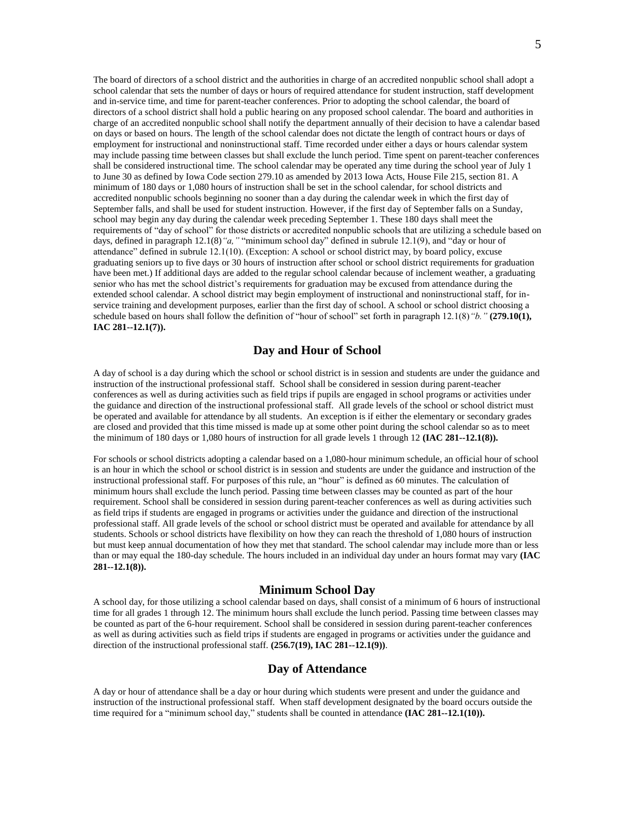The board of directors of a school district and the authorities in charge of an accredited nonpublic school shall adopt a school calendar that sets the number of days or hours of required attendance for student instruction, staff development and in-service time, and time for parent-teacher conferences. Prior to adopting the school calendar, the board of directors of a school district shall hold a public hearing on any proposed school calendar. The board and authorities in charge of an accredited nonpublic school shall notify the department annually of their decision to have a calendar based on days or based on hours. The length of the school calendar does not dictate the length of contract hours or days of employment for instructional and noninstructional staff. Time recorded under either a days or hours calendar system may include passing time between classes but shall exclude the lunch period. Time spent on parent-teacher conferences shall be considered instructional time. The school calendar may be operated any time during the school year of July 1 to June 30 as defined by Iowa Code section 279.10 as amended by 2013 Iowa Acts, House File 215, section 81. A minimum of 180 days or 1,080 hours of instruction shall be set in the school calendar, for school districts and accredited nonpublic schools beginning no sooner than a day during the calendar week in which the first day of September falls, and shall be used for student instruction. However, if the first day of September falls on a Sunday, school may begin any day during the calendar week preceding September 1. These 180 days shall meet the requirements of "day of school" for those districts or accredited nonpublic schools that are utilizing a schedule based on days, defined in paragraph 12.1(8) "a, " "minimum school day" defined in subrule 12.1(9), and "day or hour of attendance" defined in subrule 12.1(10). (Exception: A school or school district may, by board policy, excuse graduating seniors up to five days or 30 hours of instruction after school or school district requirements for graduation have been met.) If additional days are added to the regular school calendar because of inclement weather, a graduating senior who has met the school district's requirements for graduation may be excused from attendance during the extended school calendar. A school district may begin employment of instructional and noninstructional staff, for inservice training and development purposes, earlier than the first day of school. A school or school district choosing a schedule based on hours shall follow the definition of "hour of school" set forth in paragraph 12.1(8)*"b."* **(279.10(1), IAC 281--12.1(7)).**

### **Day and Hour of School**

A day of school is a day during which the school or school district is in session and students are under the guidance and instruction of the instructional professional staff. School shall be considered in session during parent-teacher conferences as well as during activities such as field trips if pupils are engaged in school programs or activities under the guidance and direction of the instructional professional staff. All grade levels of the school or school district must be operated and available for attendance by all students. An exception is if either the elementary or secondary grades are closed and provided that this time missed is made up at some other point during the school calendar so as to meet the minimum of 180 days or 1,080 hours of instruction for all grade levels 1 through 12 **(IAC 281--12.1(8)).**

For schools or school districts adopting a calendar based on a 1,080-hour minimum schedule, an official hour of school is an hour in which the school or school district is in session and students are under the guidance and instruction of the instructional professional staff. For purposes of this rule, an "hour" is defined as 60 minutes. The calculation of minimum hours shall exclude the lunch period. Passing time between classes may be counted as part of the hour requirement. School shall be considered in session during parent-teacher conferences as well as during activities such as field trips if students are engaged in programs or activities under the guidance and direction of the instructional professional staff. All grade levels of the school or school district must be operated and available for attendance by all students. Schools or school districts have flexibility on how they can reach the threshold of 1,080 hours of instruction but must keep annual documentation of how they met that standard. The school calendar may include more than or less than or may equal the 180-day schedule. The hours included in an individual day under an hours format may vary **(IAC 281--12.1(8)).**

### **Minimum School Day**

A school day, for those utilizing a school calendar based on days, shall consist of a minimum of 6 hours of instructional time for all grades 1 through 12. The minimum hours shall exclude the lunch period. Passing time between classes may be counted as part of the 6-hour requirement. School shall be considered in session during parent-teacher conferences as well as during activities such as field trips if students are engaged in programs or activities under the guidance and direction of the instructional professional staff. **(256.7(19), IAC 281--12.1(9))**.

## **Day of Attendance**

A day or hour of attendance shall be a day or hour during which students were present and under the guidance and instruction of the instructional professional staff. When staff development designated by the board occurs outside the time required for a "minimum school day," students shall be counted in attendance **(IAC 281--12.1(10)).**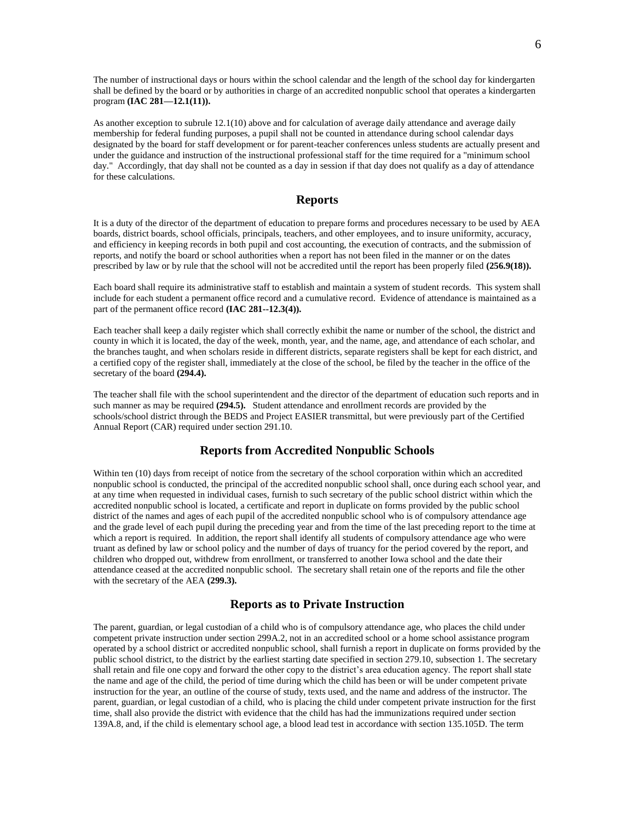The number of instructional days or hours within the school calendar and the length of the school day for kindergarten shall be defined by the board or by authorities in charge of an accredited nonpublic school that operates a kindergarten program **(IAC 281—12.1(11)).**

As another exception to subrule 12.1(10) above and for calculation of average daily attendance and average daily membership for federal funding purposes, a pupil shall not be counted in attendance during school calendar days designated by the board for staff development or for parent-teacher conferences unless students are actually present and under the guidance and instruction of the instructional professional staff for the time required for a "minimum school day." Accordingly, that day shall not be counted as a day in session if that day does not qualify as a day of attendance for these calculations.

### **Reports**

It is a duty of the director of the department of education to prepare forms and procedures necessary to be used by AEA boards, district boards, school officials, principals, teachers, and other employees, and to insure uniformity, accuracy, and efficiency in keeping records in both pupil and cost accounting, the execution of contracts, and the submission of reports, and notify the board or school authorities when a report has not been filed in the manner or on the dates prescribed by law or by rule that the school will not be accredited until the report has been properly filed **(256.9(18)).**

Each board shall require its administrative staff to establish and maintain a system of student records. This system shall include for each student a permanent office record and a cumulative record. Evidence of attendance is maintained as a part of the permanent office record **(IAC 281--12.3(4)).**

Each teacher shall keep a daily register which shall correctly exhibit the name or number of the school, the district and county in which it is located, the day of the week, month, year, and the name, age, and attendance of each scholar, and the branches taught, and when scholars reside in different districts, separate registers shall be kept for each district, and a certified copy of the register shall, immediately at the close of the school, be filed by the teacher in the office of the secretary of the board **(294.4).**

The teacher shall file with the school superintendent and the director of the department of education such reports and in such manner as may be required **(294.5).** Student attendance and enrollment records are provided by the schools/school district through the BEDS and Project EASIER transmittal, but were previously part of the Certified Annual Report (CAR) required under section 291.10.

### **Reports from Accredited Nonpublic Schools**

Within ten (10) days from receipt of notice from the secretary of the school corporation within which an accredited nonpublic school is conducted, the principal of the accredited nonpublic school shall, once during each school year, and at any time when requested in individual cases, furnish to such secretary of the public school district within which the accredited nonpublic school is located, a certificate and report in duplicate on forms provided by the public school district of the names and ages of each pupil of the accredited nonpublic school who is of compulsory attendance age and the grade level of each pupil during the preceding year and from the time of the last preceding report to the time at which a report is required. In addition, the report shall identify all students of compulsory attendance age who were truant as defined by law or school policy and the number of days of truancy for the period covered by the report, and children who dropped out, withdrew from enrollment, or transferred to another Iowa school and the date their attendance ceased at the accredited nonpublic school. The secretary shall retain one of the reports and file the other with the secretary of the AEA **(299.3).**

### **Reports as to Private Instruction**

The parent, guardian, or legal custodian of a child who is of compulsory attendance age, who places the child under competent private instruction under section 299A.2, not in an accredited school or a home school assistance program operated by a school district or accredited nonpublic school, shall furnish a report in duplicate on forms provided by the public school district, to the district by the earliest starting date specified in section 279.10, subsection 1. The secretary shall retain and file one copy and forward the other copy to the district's area education agency. The report shall state the name and age of the child, the period of time during which the child has been or will be under competent private instruction for the year, an outline of the course of study, texts used, and the name and address of the instructor. The parent, guardian, or legal custodian of a child, who is placing the child under competent private instruction for the first time, shall also provide the district with evidence that the child has had the immunizations required under section 139A.8, and, if the child is elementary school age, a blood lead test in accordance with section 135.105D. The term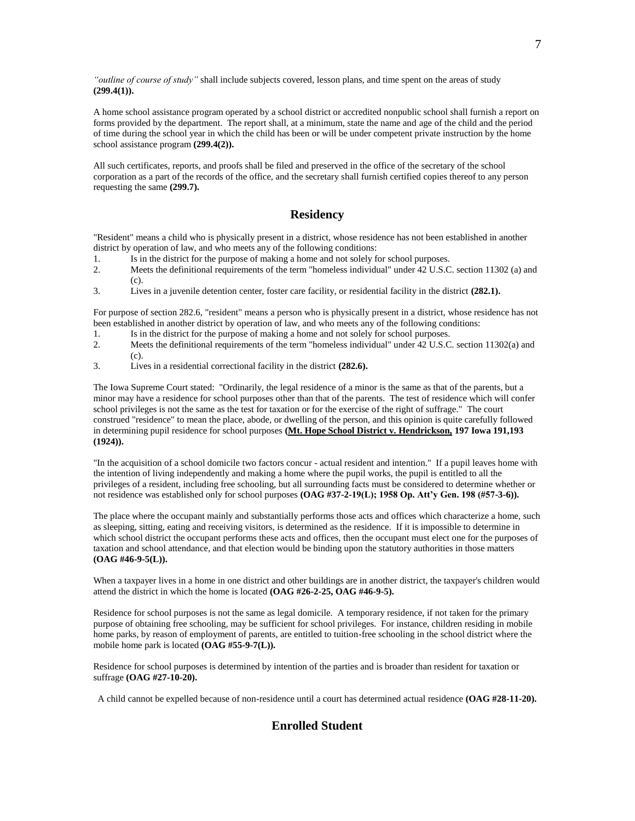*"outline of course of study"* shall include subjects covered, lesson plans, and time spent on the areas of study **(299.4(1)).**

A home school assistance program operated by a school district or accredited nonpublic school shall furnish a report on forms provided by the department. The report shall, at a minimum, state the name and age of the child and the period of time during the school year in which the child has been or will be under competent private instruction by the home school assistance program **(299.4(2)).**

All such certificates, reports, and proofs shall be filed and preserved in the office of the secretary of the school corporation as a part of the records of the office, and the secretary shall furnish certified copies thereof to any person requesting the same **(299.7).**

# **Residency**

"Resident" means a child who is physically present in a district, whose residence has not been established in another district by operation of law, and who meets any of the following conditions:

- 1. Is in the district for the purpose of making a home and not solely for school purposes.
- 2. Meets the definitional requirements of the term "homeless individual" under 42 U.S.C. section 11302 (a) and (c).
- 3. Lives in a juvenile detention center, foster care facility, or residential facility in the district **(282.1).**

For purpose of section 282.6, "resident" means a person who is physically present in a district, whose residence has not been established in another district by operation of law, and who meets any of the following conditions:

- 1. Is in the district for the purpose of making a home and not solely for school purposes.
- 2. Meets the definitional requirements of the term "homeless individual" under 42 U.S.C. section 11302(a) and (c).
- 3. Lives in a residential correctional facility in the district **(282.6).**

The Iowa Supreme Court stated: "Ordinarily, the legal residence of a minor is the same as that of the parents, but a minor may have a residence for school purposes other than that of the parents. The test of residence which will confer school privileges is not the same as the test for taxation or for the exercise of the right of suffrage." The court construed "residence" to mean the place, abode, or dwelling of the person, and this opinion is quite carefully followed in determining pupil residence for school purposes **(Mt. Hope School District v. Hendrickson, 197 Iowa 191,193 (1924)).**

"In the acquisition of a school domicile two factors concur - actual resident and intention." If a pupil leaves home with the intention of living independently and making a home where the pupil works, the pupil is entitled to all the privileges of a resident, including free schooling, but all surrounding facts must be considered to determine whether or not residence was established only for school purposes **(OAG #37-2-19(L); 1958 Op. Att'y Gen. 198 (#57-3-6)).**

The place where the occupant mainly and substantially performs those acts and offices which characterize a home, such as sleeping, sitting, eating and receiving visitors, is determined as the residence. If it is impossible to determine in which school district the occupant performs these acts and offices, then the occupant must elect one for the purposes of taxation and school attendance, and that election would be binding upon the statutory authorities in those matters **(OAG #46-9-5(L)).**

When a taxpayer lives in a home in one district and other buildings are in another district, the taxpayer's children would attend the district in which the home is located **(OAG #26-2-25, OAG #46-9-5).**

Residence for school purposes is not the same as legal domicile. A temporary residence, if not taken for the primary purpose of obtaining free schooling, may be sufficient for school privileges. For instance, children residing in mobile home parks, by reason of employment of parents, are entitled to tuition-free schooling in the school district where the mobile home park is located **(OAG #55-9-7(L)).**

Residence for school purposes is determined by intention of the parties and is broader than resident for taxation or suffrage **(OAG #27-10-20).**

A child cannot be expelled because of non-residence until a court has determined actual residence **(OAG #28-11-20).**

# **Enrolled Student**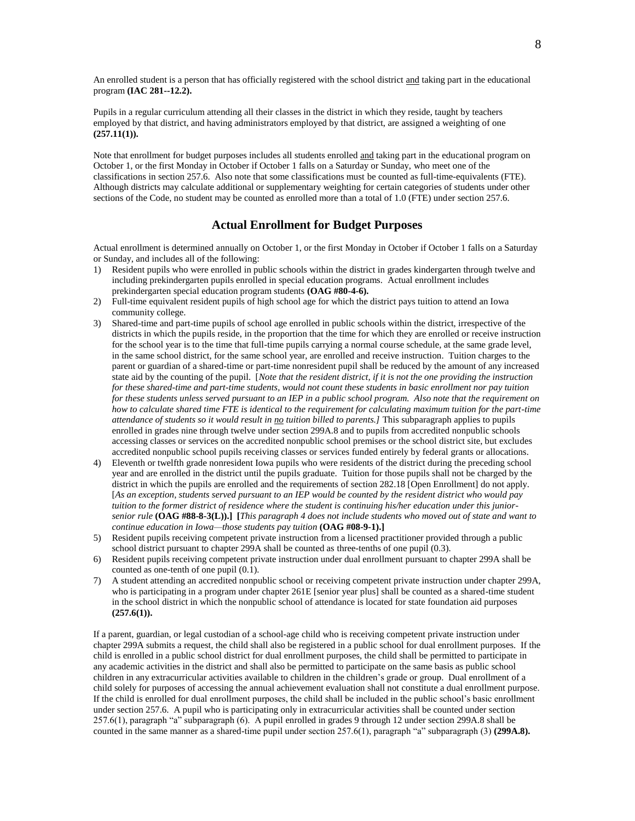An enrolled student is a person that has officially registered with the school district and taking part in the educational program **(IAC 281--12.2).**

Pupils in a regular curriculum attending all their classes in the district in which they reside, taught by teachers employed by that district, and having administrators employed by that district, are assigned a weighting of one **(257.11(1)).**

Note that enrollment for budget purposes includes all students enrolled and taking part in the educational program on October 1, or the first Monday in October if October 1 falls on a Saturday or Sunday, who meet one of the classifications in section 257.6. Also note that some classifications must be counted as full-time-equivalents (FTE). Although districts may calculate additional or supplementary weighting for certain categories of students under other sections of the Code, no student may be counted as enrolled more than a total of 1.0 (FTE) under section 257.6.

# **Actual Enrollment for Budget Purposes**

Actual enrollment is determined annually on October 1, or the first Monday in October if October 1 falls on a Saturday or Sunday, and includes all of the following:

- 1) Resident pupils who were enrolled in public schools within the district in grades kindergarten through twelve and including prekindergarten pupils enrolled in special education programs. Actual enrollment includes prekindergarten special education program students **(OAG #80-4-6).**
- 2) Full-time equivalent resident pupils of high school age for which the district pays tuition to attend an Iowa community college.
- 3) Shared-time and part-time pupils of school age enrolled in public schools within the district, irrespective of the districts in which the pupils reside, in the proportion that the time for which they are enrolled or receive instruction for the school year is to the time that full-time pupils carrying a normal course schedule, at the same grade level, in the same school district, for the same school year, are enrolled and receive instruction. Tuition charges to the parent or guardian of a shared-time or part-time nonresident pupil shall be reduced by the amount of any increased state aid by the counting of the pupil. [*Note that the resident district, if it is not the one providing the instruction for these shared-time and part-time students, would not count these students in basic enrollment nor pay tuition for these students unless served pursuant to an IEP in a public school program. Also note that the requirement on how to calculate shared time FTE is identical to the requirement for calculating maximum tuition for the part-time attendance of students so it would result in no tuition billed to parents.]* This subparagraph applies to pupils enrolled in grades nine through twelve under section 299A.8 and to pupils from accredited nonpublic schools accessing classes or services on the accredited nonpublic school premises or the school district site, but excludes accredited nonpublic school pupils receiving classes or services funded entirely by federal grants or allocations.
- 4) Eleventh or twelfth grade nonresident Iowa pupils who were residents of the district during the preceding school year and are enrolled in the district until the pupils graduate. Tuition for those pupils shall not be charged by the district in which the pupils are enrolled and the requirements of section 282.18 [Open Enrollment] do not apply. [*As an exception, students served pursuant to an IEP would be counted by the resident district who would pay tuition to the former district of residence where the student is continuing his/her education under this juniorsenior rule* **(OAG #88-8-3(L)).] [***This paragraph 4 does not include students who moved out of state and want to continue education in Iowa—those students pay tuition* **(OAG #08-9-1).]**
- 5) Resident pupils receiving competent private instruction from a licensed practitioner provided through a public school district pursuant to chapter 299A shall be counted as three-tenths of one pupil (0.3).
- 6) Resident pupils receiving competent private instruction under dual enrollment pursuant to chapter 299A shall be counted as one-tenth of one pupil (0.1).
- 7) A student attending an accredited nonpublic school or receiving competent private instruction under chapter 299A, who is participating in a program under chapter 261E [senior year plus] shall be counted as a shared-time student in the school district in which the nonpublic school of attendance is located for state foundation aid purposes **(257.6(1)).**

If a parent, guardian, or legal custodian of a school-age child who is receiving competent private instruction under chapter 299A submits a request, the child shall also be registered in a public school for dual enrollment purposes. If the child is enrolled in a public school district for dual enrollment purposes, the child shall be permitted to participate in any academic activities in the district and shall also be permitted to participate on the same basis as public school children in any extracurricular activities available to children in the children's grade or group. Dual enrollment of a child solely for purposes of accessing the annual achievement evaluation shall not constitute a dual enrollment purpose. If the child is enrolled for dual enrollment purposes, the child shall be included in the public school's basic enrollment under section 257.6. A pupil who is participating only in extracurricular activities shall be counted under section 257.6(1), paragraph "a" subparagraph (6). A pupil enrolled in grades 9 through 12 under section 299A.8 shall be counted in the same manner as a shared-time pupil under section 257.6(1), paragraph "a" subparagraph (3) **(299A.8).**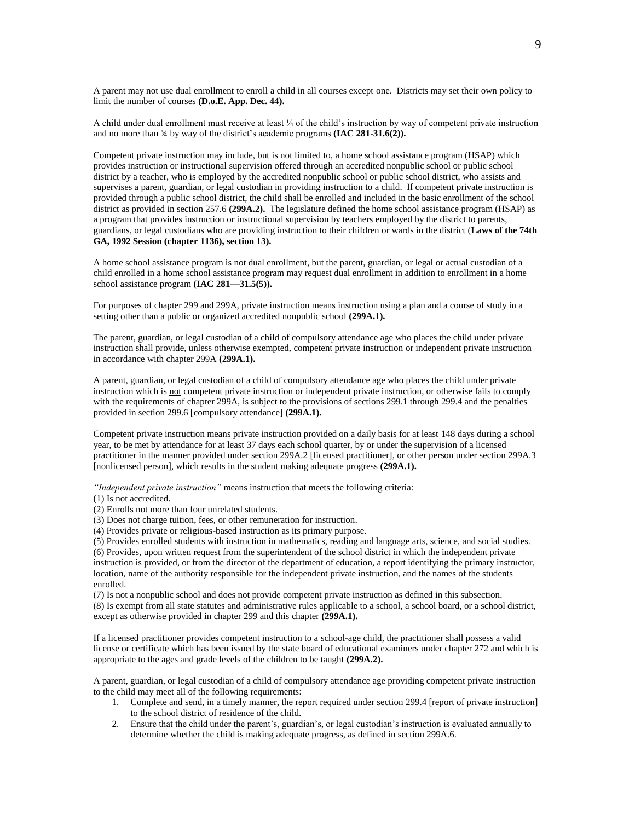A parent may not use dual enrollment to enroll a child in all courses except one. Districts may set their own policy to limit the number of courses **(D.o.E. App. Dec. 44).**

A child under dual enrollment must receive at least ¼ of the child's instruction by way of competent private instruction and no more than  $\frac{3}{4}$  by way of the district's academic programs **(IAC 281-31.6(2)).** 

Competent private instruction may include, but is not limited to, a home school assistance program (HSAP) which provides instruction or instructional supervision offered through an accredited nonpublic school or public school district by a teacher, who is employed by the accredited nonpublic school or public school district, who assists and supervises a parent, guardian, or legal custodian in providing instruction to a child. If competent private instruction is provided through a public school district, the child shall be enrolled and included in the basic enrollment of the school district as provided in section 257.6 **(299A.2).** The legislature defined the home school assistance program (HSAP) as a program that provides instruction or instructional supervision by teachers employed by the district to parents, guardians, or legal custodians who are providing instruction to their children or wards in the district (**Laws of the 74th GA, 1992 Session (chapter 1136), section 13).**

A home school assistance program is not dual enrollment, but the parent, guardian, or legal or actual custodian of a child enrolled in a home school assistance program may request dual enrollment in addition to enrollment in a home school assistance program **(IAC 281—31.5(5)).**

For purposes of chapter 299 and 299A, private instruction means instruction using a plan and a course of study in a setting other than a public or organized accredited nonpublic school **(299A.1).**

The parent, guardian, or legal custodian of a child of compulsory attendance age who places the child under private instruction shall provide, unless otherwise exempted, competent private instruction or independent private instruction in accordance with chapter 299A **(299A.1).**

A parent, guardian, or legal custodian of a child of compulsory attendance age who places the child under private instruction which is not competent private instruction or independent private instruction, or otherwise fails to comply with the requirements of chapter 299A, is subject to the provisions of sections 299.1 through 299.4 and the penalties provided in section 299.6 [compulsory attendance] **(299A.1).**

Competent private instruction means private instruction provided on a daily basis for at least 148 days during a school year, to be met by attendance for at least 37 days each school quarter, by or under the supervision of a licensed practitioner in the manner provided under section 299A.2 [licensed practitioner], or other person under section 299A.3 [nonlicensed person], which results in the student making adequate progress **(299A.1).**

*"Independent private instruction"* means instruction that meets the following criteria:

(1) Is not accredited.

(2) Enrolls not more than four unrelated students.

(3) Does not charge tuition, fees, or other remuneration for instruction.

(4) Provides private or religious-based instruction as its primary purpose.

(5) Provides enrolled students with instruction in mathematics, reading and language arts, science, and social studies. (6) Provides, upon written request from the superintendent of the school district in which the independent private instruction is provided, or from the director of the department of education, a report identifying the primary instructor, location, name of the authority responsible for the independent private instruction, and the names of the students enrolled.

(7) Is not a nonpublic school and does not provide competent private instruction as defined in this subsection.

(8) Is exempt from all state statutes and administrative rules applicable to a school, a school board, or a school district, except as otherwise provided in chapter 299 and this chapter **(299A.1).**

If a licensed practitioner provides competent instruction to a school-age child, the practitioner shall possess a valid license or certificate which has been issued by the state board of educational examiners under chapter 272 and which is appropriate to the ages and grade levels of the children to be taught **(299A.2).**

A parent, guardian, or legal custodian of a child of compulsory attendance age providing competent private instruction to the child may meet all of the following requirements:

- 1. Complete and send, in a timely manner, the report required under section 299.4 [report of private instruction] to the school district of residence of the child.
- 2. Ensure that the child under the parent's, guardian's, or legal custodian's instruction is evaluated annually to determine whether the child is making adequate progress, as defined in section 299A.6.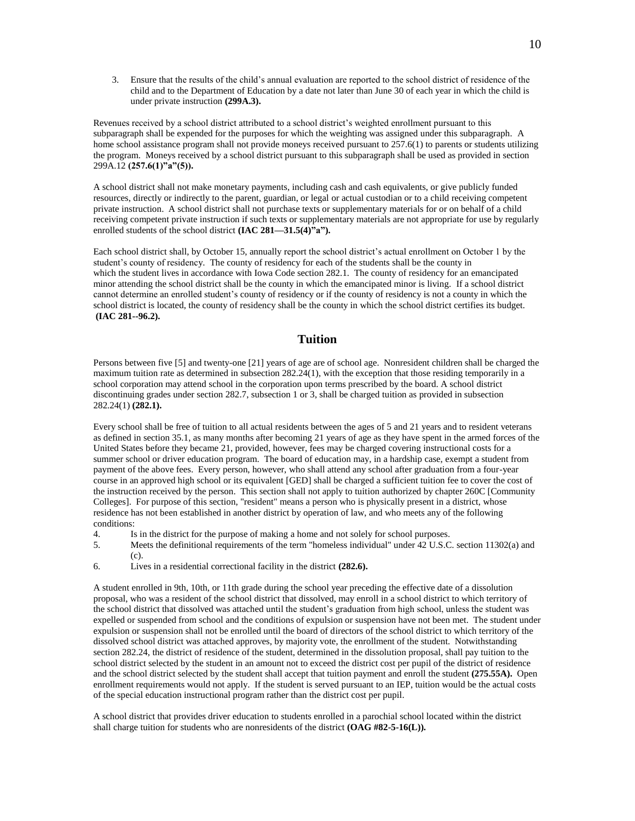3. Ensure that the results of the child's annual evaluation are reported to the school district of residence of the child and to the Department of Education by a date not later than June 30 of each year in which the child is under private instruction **(299A.3).**

Revenues received by a school district attributed to a school district's weighted enrollment pursuant to this subparagraph shall be expended for the purposes for which the weighting was assigned under this subparagraph. A home school assistance program shall not provide moneys received pursuant to 257.6(1) to parents or students utilizing the program. Moneys received by a school district pursuant to this subparagraph shall be used as provided in section 299A.12 **(257.6(1)"a"(5)).**

A school district shall not make monetary payments, including cash and cash equivalents, or give publicly funded resources, directly or indirectly to the parent, guardian, or legal or actual custodian or to a child receiving competent private instruction. A school district shall not purchase texts or supplementary materials for or on behalf of a child receiving competent private instruction if such texts or supplementary materials are not appropriate for use by regularly enrolled students of the school district **(IAC 281—31.5(4)**"a").

Each school district shall, by October 15, annually report the school district's actual enrollment on October 1 by the student's county of residency. The county of residency for each of the students shall be the county in which the student lives in accordance with Iowa Code section 282.1. The county of residency for an emancipated minor attending the school district shall be the county in which the emancipated minor is living. If a school district cannot determine an enrolled student's county of residency or if the county of residency is not a county in which the school district is located, the county of residency shall be the county in which the school district certifies its budget. **(IAC 281--96.2).**

# **Tuition**

Persons between five [5] and twenty-one [21] years of age are of school age. Nonresident children shall be charged the maximum tuition rate as determined in subsection 282.24(1), with the exception that those residing temporarily in a school corporation may attend school in the corporation upon terms prescribed by the board. A school district discontinuing grades under section 282.7, subsection 1 or 3, shall be charged tuition as provided in subsection 282.24(1) **(282.1).**

Every school shall be free of tuition to all actual residents between the ages of 5 and 21 years and to resident veterans as defined in section 35.1, as many months after becoming 21 years of age as they have spent in the armed forces of the United States before they became 21, provided, however, fees may be charged covering instructional costs for a summer school or driver education program. The board of education may, in a hardship case, exempt a student from payment of the above fees. Every person, however, who shall attend any school after graduation from a four-year course in an approved high school or its equivalent [GED] shall be charged a sufficient tuition fee to cover the cost of the instruction received by the person. This section shall not apply to tuition authorized by chapter 260C [Community Colleges]. For purpose of this section, "resident" means a person who is physically present in a district, whose residence has not been established in another district by operation of law, and who meets any of the following conditions:

- 4. Is in the district for the purpose of making a home and not solely for school purposes.
- 5. Meets the definitional requirements of the term "homeless individual" under 42 U.S.C. section 11302(a) and (c).
- 6. Lives in a residential correctional facility in the district **(282.6).**

A student enrolled in 9th, 10th, or 11th grade during the school year preceding the effective date of a dissolution proposal, who was a resident of the school district that dissolved, may enroll in a school district to which territory of the school district that dissolved was attached until the student's graduation from high school, unless the student was expelled or suspended from school and the conditions of expulsion or suspension have not been met. The student under expulsion or suspension shall not be enrolled until the board of directors of the school district to which territory of the dissolved school district was attached approves, by majority vote, the enrollment of the student. Notwithstanding section 282.24, the district of residence of the student, determined in the dissolution proposal, shall pay tuition to the school district selected by the student in an amount not to exceed the district cost per pupil of the district of residence and the school district selected by the student shall accept that tuition payment and enroll the student **(275.55A).** Open enrollment requirements would not apply. If the student is served pursuant to an IEP, tuition would be the actual costs of the special education instructional program rather than the district cost per pupil.

A school district that provides driver education to students enrolled in a parochial school located within the district shall charge tuition for students who are nonresidents of the district **(OAG #82-5-16(L)).**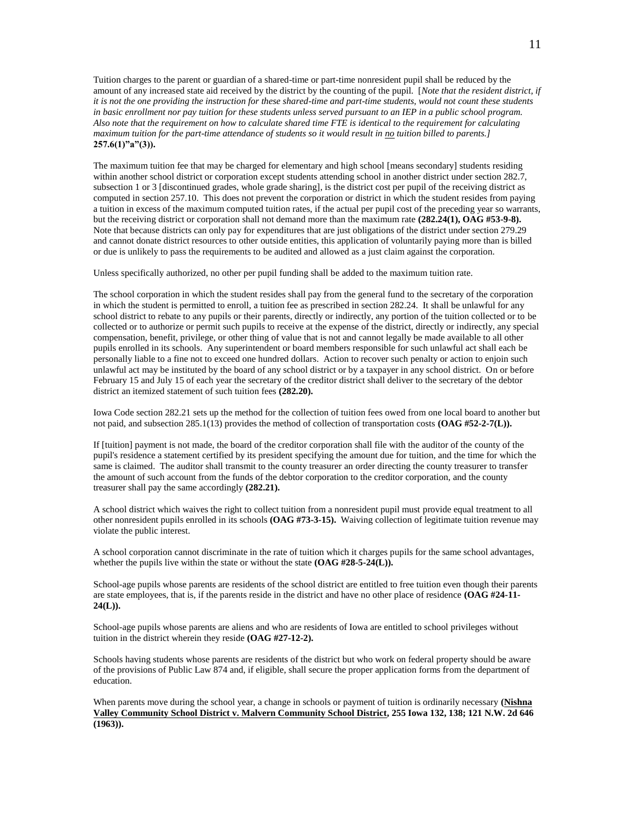Tuition charges to the parent or guardian of a shared-time or part-time nonresident pupil shall be reduced by the amount of any increased state aid received by the district by the counting of the pupil. [*Note that the resident district, if it is not the one providing the instruction for these shared-time and part-time students, would not count these students*  in basic enrollment nor pay tuition for these students unless served pursuant to an IEP in a public school program. *Also note that the requirement on how to calculate shared time FTE is identical to the requirement for calculating maximum tuition for the part-time attendance of students so it would result in no tuition billed to parents.]* **257.6(1)"a"(3)).**

The maximum tuition fee that may be charged for elementary and high school [means secondary] students residing within another school district or corporation except students attending school in another district under section 282.7, subsection 1 or 3 [discontinued grades, whole grade sharing], is the district cost per pupil of the receiving district as computed in section 257.10. This does not prevent the corporation or district in which the student resides from paying a tuition in excess of the maximum computed tuition rates, if the actual per pupil cost of the preceding year so warrants, but the receiving district or corporation shall not demand more than the maximum rate **(282.24(1), OAG #53-9-8).**  Note that because districts can only pay for expenditures that are just obligations of the district under section 279.29 and cannot donate district resources to other outside entities, this application of voluntarily paying more than is billed or due is unlikely to pass the requirements to be audited and allowed as a just claim against the corporation.

Unless specifically authorized, no other per pupil funding shall be added to the maximum tuition rate.

The school corporation in which the student resides shall pay from the general fund to the secretary of the corporation in which the student is permitted to enroll, a tuition fee as prescribed in section 282.24. It shall be unlawful for any school district to rebate to any pupils or their parents, directly or indirectly, any portion of the tuition collected or to be collected or to authorize or permit such pupils to receive at the expense of the district, directly or indirectly, any special compensation, benefit, privilege, or other thing of value that is not and cannot legally be made available to all other pupils enrolled in its schools. Any superintendent or board members responsible for such unlawful act shall each be personally liable to a fine not to exceed one hundred dollars. Action to recover such penalty or action to enjoin such unlawful act may be instituted by the board of any school district or by a taxpayer in any school district. On or before February 15 and July 15 of each year the secretary of the creditor district shall deliver to the secretary of the debtor district an itemized statement of such tuition fees **(282.20).**

Iowa Code section 282.21 sets up the method for the collection of tuition fees owed from one local board to another but not paid, and subsection 285.1(13) provides the method of collection of transportation costs **(OAG #52-2-7(L)).**

If [tuition] payment is not made, the board of the creditor corporation shall file with the auditor of the county of the pupil's residence a statement certified by its president specifying the amount due for tuition, and the time for which the same is claimed. The auditor shall transmit to the county treasurer an order directing the county treasurer to transfer the amount of such account from the funds of the debtor corporation to the creditor corporation, and the county treasurer shall pay the same accordingly **(282.21).**

A school district which waives the right to collect tuition from a nonresident pupil must provide equal treatment to all other nonresident pupils enrolled in its schools **(OAG #73-3-15).** Waiving collection of legitimate tuition revenue may violate the public interest.

A school corporation cannot discriminate in the rate of tuition which it charges pupils for the same school advantages, whether the pupils live within the state or without the state **(OAG #28-5-24(L)).** 

School-age pupils whose parents are residents of the school district are entitled to free tuition even though their parents are state employees, that is, if the parents reside in the district and have no other place of residence **(OAG #24-11- 24(L)).**

School-age pupils whose parents are aliens and who are residents of Iowa are entitled to school privileges without tuition in the district wherein they reside **(OAG #27-12-2).**

Schools having students whose parents are residents of the district but who work on federal property should be aware of the provisions of Public Law 874 and, if eligible, shall secure the proper application forms from the department of education.

When parents move during the school year, a change in schools or payment of tuition is ordinarily necessary **(Nishna Valley Community School District v. Malvern Community School District, 255 Iowa 132, 138; 121 N.W. 2d 646 (1963)).**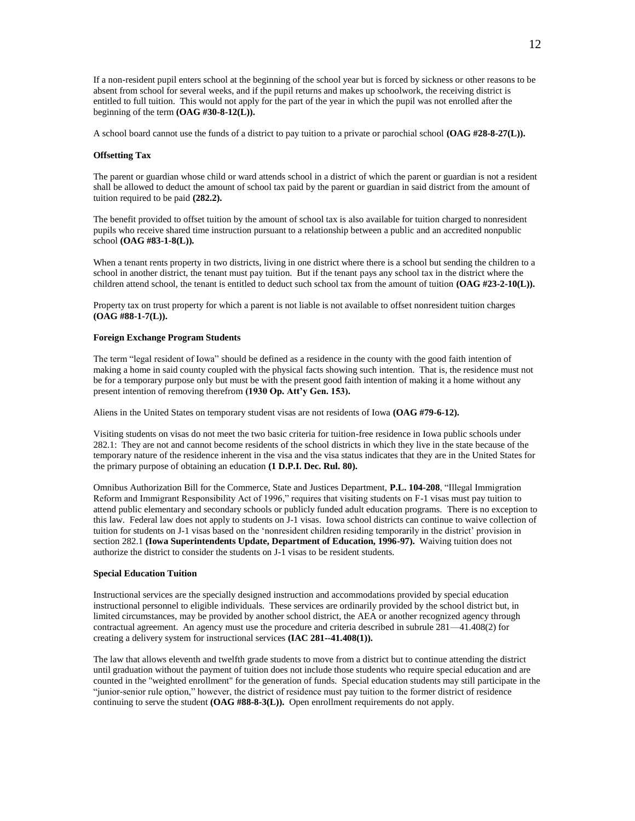If a non-resident pupil enters school at the beginning of the school year but is forced by sickness or other reasons to be absent from school for several weeks, and if the pupil returns and makes up schoolwork, the receiving district is entitled to full tuition. This would not apply for the part of the year in which the pupil was not enrolled after the beginning of the term **(OAG #30-8-12(L)).**

A school board cannot use the funds of a district to pay tuition to a private or parochial school **(OAG #28-8-27(L)).**

#### **Offsetting Tax**

The parent or guardian whose child or ward attends school in a district of which the parent or guardian is not a resident shall be allowed to deduct the amount of school tax paid by the parent or guardian in said district from the amount of tuition required to be paid **(282.2).**

The benefit provided to offset tuition by the amount of school tax is also available for tuition charged to nonresident pupils who receive shared time instruction pursuant to a relationship between a public and an accredited nonpublic school **(OAG #83-1-8(L)).**

When a tenant rents property in two districts, living in one district where there is a school but sending the children to a school in another district, the tenant must pay tuition. But if the tenant pays any school tax in the district where the children attend school, the tenant is entitled to deduct such school tax from the amount of tuition **(OAG #23-2-10(L)).**

Property tax on trust property for which a parent is not liable is not available to offset nonresident tuition charges **(OAG #88-1-7(L)).**

### **Foreign Exchange Program Students**

The term "legal resident of Iowa" should be defined as a residence in the county with the good faith intention of making a home in said county coupled with the physical facts showing such intention. That is, the residence must not be for a temporary purpose only but must be with the present good faith intention of making it a home without any present intention of removing therefrom **(1930 Op. Att'y Gen. 153).**

Aliens in the United States on temporary student visas are not residents of Iowa **(OAG #79-6-12).**

Visiting students on visas do not meet the two basic criteria for tuition-free residence in Iowa public schools under 282.1: They are not and cannot become residents of the school districts in which they live in the state because of the temporary nature of the residence inherent in the visa and the visa status indicates that they are in the United States for the primary purpose of obtaining an education **(1 D.P.I. Dec. Rul. 80).**

Omnibus Authorization Bill for the Commerce, State and Justices Department, **P.L. 104-208**, "Illegal Immigration Reform and Immigrant Responsibility Act of 1996," requires that visiting students on F-1 visas must pay tuition to attend public elementary and secondary schools or publicly funded adult education programs. There is no exception to this law. Federal law does not apply to students on J-1 visas. Iowa school districts can continue to waive collection of tuition for students on J-1 visas based on the 'nonresident children residing temporarily in the district' provision in section 282.1 **(Iowa Superintendents Update, Department of Education, 1996-97).** Waiving tuition does not authorize the district to consider the students on J-1 visas to be resident students.

#### **Special Education Tuition**

Instructional services are the specially designed instruction and accommodations provided by special education instructional personnel to eligible individuals. These services are ordinarily provided by the school district but, in limited circumstances, may be provided by another school district, the AEA or another recognized agency through contractual agreement. An agency must use the procedure and criteria described in subrule 281—41.408(2) for creating a delivery system for instructional services **(IAC 281--41.408(1)).**

The law that allows eleventh and twelfth grade students to move from a district but to continue attending the district until graduation without the payment of tuition does not include those students who require special education and are counted in the "weighted enrollment" for the generation of funds. Special education students may still participate in the "junior-senior rule option," however, the district of residence must pay tuition to the former district of residence continuing to serve the student **(OAG #88-8-3(L)).** Open enrollment requirements do not apply.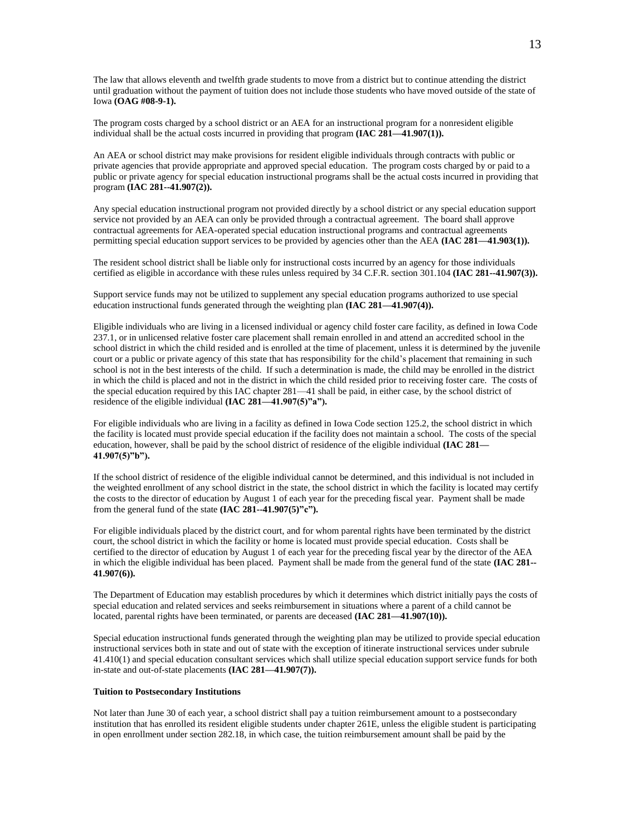The law that allows eleventh and twelfth grade students to move from a district but to continue attending the district until graduation without the payment of tuition does not include those students who have moved outside of the state of Iowa **(OAG #08-9-1).**

The program costs charged by a school district or an AEA for an instructional program for a nonresident eligible individual shall be the actual costs incurred in providing that program **(IAC 281—41.907(1)).**

An AEA or school district may make provisions for resident eligible individuals through contracts with public or private agencies that provide appropriate and approved special education. The program costs charged by or paid to a public or private agency for special education instructional programs shall be the actual costs incurred in providing that program **(IAC 281--41.907(2)).**

Any special education instructional program not provided directly by a school district or any special education support service not provided by an AEA can only be provided through a contractual agreement. The board shall approve contractual agreements for AEA-operated special education instructional programs and contractual agreements permitting special education support services to be provided by agencies other than the AEA **(IAC 281—41.903(1)).**

The resident school district shall be liable only for instructional costs incurred by an agency for those individuals certified as eligible in accordance with these rules unless required by 34 C.F.R. section 301.104 **(IAC 281--41.907(3)).**

Support service funds may not be utilized to supplement any special education programs authorized to use special education instructional funds generated through the weighting plan **(IAC 281—41.907(4)).**

Eligible individuals who are living in a licensed individual or agency child foster care facility, as defined in Iowa Code 237.1, or in unlicensed relative foster care placement shall remain enrolled in and attend an accredited school in the school district in which the child resided and is enrolled at the time of placement, unless it is determined by the juvenile court or a public or private agency of this state that has responsibility for the child's placement that remaining in such school is not in the best interests of the child. If such a determination is made, the child may be enrolled in the district in which the child is placed and not in the district in which the child resided prior to receiving foster care. The costs of the special education required by this IAC chapter 281—41 shall be paid, in either case, by the school district of residence of the eligible individual **(IAC 281—41.907(5)"a").** 

For eligible individuals who are living in a facility as defined in Iowa Code section 125.2, the school district in which the facility is located must provide special education if the facility does not maintain a school. The costs of the special education, however, shall be paid by the school district of residence of the eligible individual **(IAC 281— 41.907(5)"b").** 

If the school district of residence of the eligible individual cannot be determined, and this individual is not included in the weighted enrollment of any school district in the state, the school district in which the facility is located may certify the costs to the director of education by August 1 of each year for the preceding fiscal year. Payment shall be made from the general fund of the state **(IAC 281--41.907(5)"c").**

For eligible individuals placed by the district court, and for whom parental rights have been terminated by the district court, the school district in which the facility or home is located must provide special education. Costs shall be certified to the director of education by August 1 of each year for the preceding fiscal year by the director of the AEA in which the eligible individual has been placed. Payment shall be made from the general fund of the state **(IAC 281-- 41.907(6)).**

The Department of Education may establish procedures by which it determines which district initially pays the costs of special education and related services and seeks reimbursement in situations where a parent of a child cannot be located, parental rights have been terminated, or parents are deceased **(IAC 281—41.907(10)).**

Special education instructional funds generated through the weighting plan may be utilized to provide special education instructional services both in state and out of state with the exception of itinerate instructional services under subrule 41.410(1) and special education consultant services which shall utilize special education support service funds for both in-state and out-of-state placements **(IAC 281—41.907(7)).**

#### **Tuition to Postsecondary Institutions**

Not later than June 30 of each year, a school district shall pay a tuition reimbursement amount to a postsecondary institution that has enrolled its resident eligible students under chapter 261E, unless the eligible student is participating in open enrollment under section 282.18, in which case, the tuition reimbursement amount shall be paid by the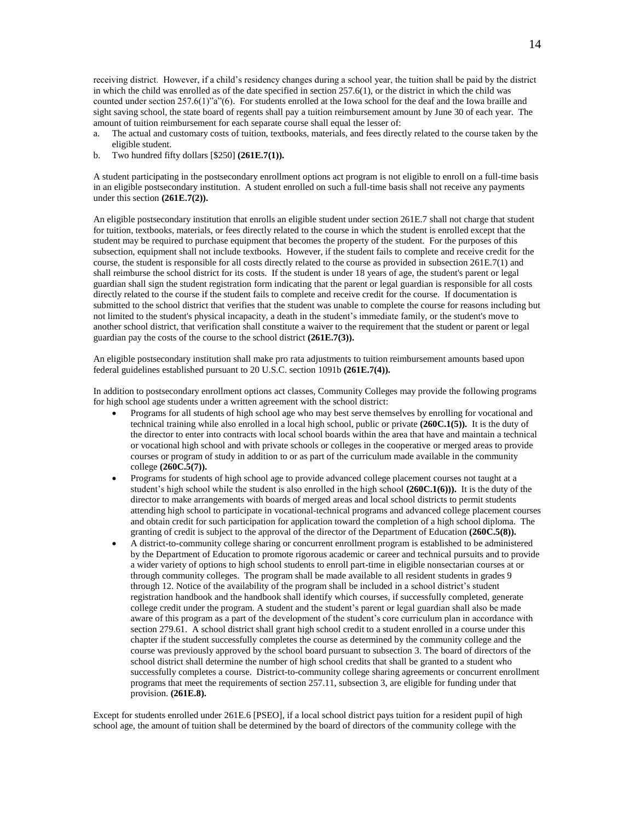receiving district. However, if a child's residency changes during a school year, the tuition shall be paid by the district in which the child was enrolled as of the date specified in section 257.6(1), or the district in which the child was counted under section 257.6(1)"a"(6). For students enrolled at the Iowa school for the deaf and the Iowa braille and sight saving school, the state board of regents shall pay a tuition reimbursement amount by June 30 of each year. The amount of tuition reimbursement for each separate course shall equal the lesser of:

- a. The actual and customary costs of tuition, textbooks, materials, and fees directly related to the course taken by the eligible student.
- b. Two hundred fifty dollars [\$250] **(261E.7(1)).**

A student participating in the postsecondary enrollment options act program is not eligible to enroll on a full-time basis in an eligible postsecondary institution. A student enrolled on such a full-time basis shall not receive any payments under this section **(261E.7(2)).**

An eligible postsecondary institution that enrolls an eligible student under section 261E.7 shall not charge that student for tuition, textbooks, materials, or fees directly related to the course in which the student is enrolled except that the student may be required to purchase equipment that becomes the property of the student. For the purposes of this subsection, equipment shall not include textbooks. However, if the student fails to complete and receive credit for the course, the student is responsible for all costs directly related to the course as provided in subsection 261E.7(1) and shall reimburse the school district for its costs. If the student is under 18 years of age, the student's parent or legal guardian shall sign the student registration form indicating that the parent or legal guardian is responsible for all costs directly related to the course if the student fails to complete and receive credit for the course. If documentation is submitted to the school district that verifies that the student was unable to complete the course for reasons including but not limited to the student's physical incapacity, a death in the student's immediate family, or the student's move to another school district, that verification shall constitute a waiver to the requirement that the student or parent or legal guardian pay the costs of the course to the school district **(261E.7(3)).**

An eligible postsecondary institution shall make pro rata adjustments to tuition reimbursement amounts based upon federal guidelines established pursuant to 20 U.S.C. section 1091b **(261E.7(4)).**

In addition to postsecondary enrollment options act classes, Community Colleges may provide the following programs for high school age students under a written agreement with the school district:

- Programs for all students of high school age who may best serve themselves by enrolling for vocational and technical training while also enrolled in a local high school, public or private **(260C.1(5)).** It is the duty of the director to enter into contracts with local school boards within the area that have and maintain a technical or vocational high school and with private schools or colleges in the cooperative or merged areas to provide courses or program of study in addition to or as part of the curriculum made available in the community college **(260C.5(7)).**
- Programs for students of high school age to provide advanced college placement courses not taught at a student's high school while the student is also enrolled in the high school **(260C.1(6))).** It is the duty of the director to make arrangements with boards of merged areas and local school districts to permit students attending high school to participate in vocational-technical programs and advanced college placement courses and obtain credit for such participation for application toward the completion of a high school diploma. The granting of credit is subject to the approval of the director of the Department of Education **(260C.5(8)).**
- A district-to-community college sharing or concurrent enrollment program is established to be administered by the Department of Education to promote rigorous academic or career and technical pursuits and to provide a wider variety of options to high school students to enroll part-time in eligible nonsectarian courses at or through community colleges. The program shall be made available to all resident students in grades 9 through 12. Notice of the availability of the program shall be included in a school district's student registration handbook and the handbook shall identify which courses, if successfully completed, generate college credit under the program. A student and the student's parent or legal guardian shall also be made aware of this program as a part of the development of the student's core curriculum plan in accordance with section 279.61. A school district shall grant high school credit to a student enrolled in a course under this chapter if the student successfully completes the course as determined by the community college and the course was previously approved by the school board pursuant to subsection 3. The board of directors of the school district shall determine the number of high school credits that shall be granted to a student who successfully completes a course. District-to-community college sharing agreements or concurrent enrollment programs that meet the requirements of section 257.11, subsection 3, are eligible for funding under that provision. **(261E.8).**

Except for students enrolled under 261E.6 [PSEO], if a local school district pays tuition for a resident pupil of high school age, the amount of tuition shall be determined by the board of directors of the community college with the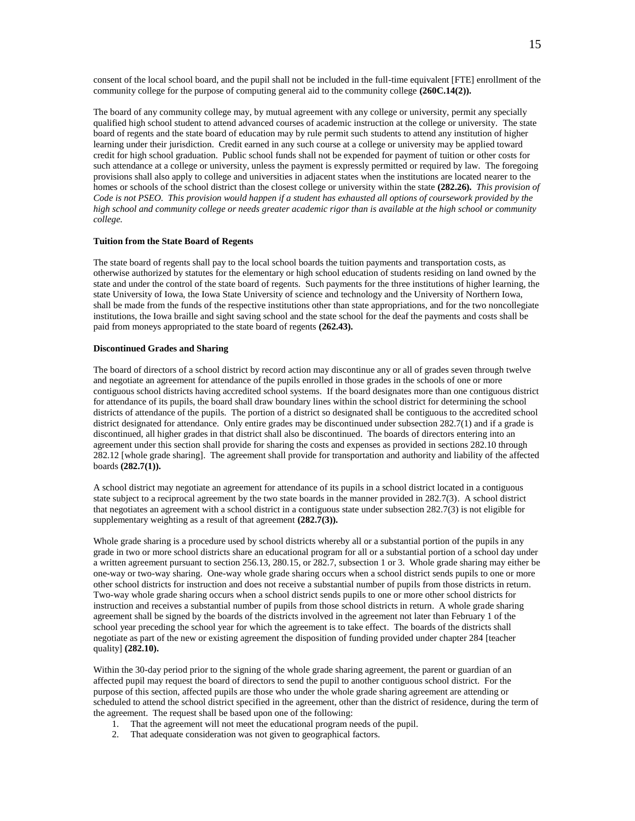consent of the local school board, and the pupil shall not be included in the full-time equivalent [FTE] enrollment of the community college for the purpose of computing general aid to the community college **(260C.14(2)).**

The board of any community college may, by mutual agreement with any college or university, permit any specially qualified high school student to attend advanced courses of academic instruction at the college or university. The state board of regents and the state board of education may by rule permit such students to attend any institution of higher learning under their jurisdiction. Credit earned in any such course at a college or university may be applied toward credit for high school graduation. Public school funds shall not be expended for payment of tuition or other costs for such attendance at a college or university, unless the payment is expressly permitted or required by law. The foregoing provisions shall also apply to college and universities in adjacent states when the institutions are located nearer to the homes or schools of the school district than the closest college or university within the state **(282.26).** *This provision of Code is not PSEO. This provision would happen if a student has exhausted all options of coursework provided by the high school and community college or needs greater academic rigor than is available at the high school or community college.*

### **Tuition from the State Board of Regents**

The state board of regents shall pay to the local school boards the tuition payments and transportation costs, as otherwise authorized by statutes for the elementary or high school education of students residing on land owned by the state and under the control of the state board of regents. Such payments for the three institutions of higher learning, the state University of Iowa, the Iowa State University of science and technology and the University of Northern Iowa, shall be made from the funds of the respective institutions other than state appropriations, and for the two noncollegiate institutions, the Iowa braille and sight saving school and the state school for the deaf the payments and costs shall be paid from moneys appropriated to the state board of regents **(262.43).**

#### **Discontinued Grades and Sharing**

The board of directors of a school district by record action may discontinue any or all of grades seven through twelve and negotiate an agreement for attendance of the pupils enrolled in those grades in the schools of one or more contiguous school districts having accredited school systems. If the board designates more than one contiguous district for attendance of its pupils, the board shall draw boundary lines within the school district for determining the school districts of attendance of the pupils. The portion of a district so designated shall be contiguous to the accredited school district designated for attendance. Only entire grades may be discontinued under subsection 282.7(1) and if a grade is discontinued, all higher grades in that district shall also be discontinued. The boards of directors entering into an agreement under this section shall provide for sharing the costs and expenses as provided in sections 282.10 through 282.12 [whole grade sharing]. The agreement shall provide for transportation and authority and liability of the affected boards **(282.7(1)).**

A school district may negotiate an agreement for attendance of its pupils in a school district located in a contiguous state subject to a reciprocal agreement by the two state boards in the manner provided in 282.7(3). A school district that negotiates an agreement with a school district in a contiguous state under subsection 282.7(3) is not eligible for supplementary weighting as a result of that agreement **(282.7(3)).**

Whole grade sharing is a procedure used by school districts whereby all or a substantial portion of the pupils in any grade in two or more school districts share an educational program for all or a substantial portion of a school day under a written agreement pursuant to section 256.13, 280.15, or 282.7, subsection 1 or 3. Whole grade sharing may either be one-way or two-way sharing. One-way whole grade sharing occurs when a school district sends pupils to one or more other school districts for instruction and does not receive a substantial number of pupils from those districts in return. Two-way whole grade sharing occurs when a school district sends pupils to one or more other school districts for instruction and receives a substantial number of pupils from those school districts in return. A whole grade sharing agreement shall be signed by the boards of the districts involved in the agreement not later than February 1 of the school year preceding the school year for which the agreement is to take effect. The boards of the districts shall negotiate as part of the new or existing agreement the disposition of funding provided under chapter 284 [teacher quality] **(282.10).**

Within the 30-day period prior to the signing of the whole grade sharing agreement, the parent or guardian of an affected pupil may request the board of directors to send the pupil to another contiguous school district. For the purpose of this section, affected pupils are those who under the whole grade sharing agreement are attending or scheduled to attend the school district specified in the agreement, other than the district of residence, during the term of the agreement. The request shall be based upon one of the following:

- 1. That the agreement will not meet the educational program needs of the pupil.
- 2. That adequate consideration was not given to geographical factors.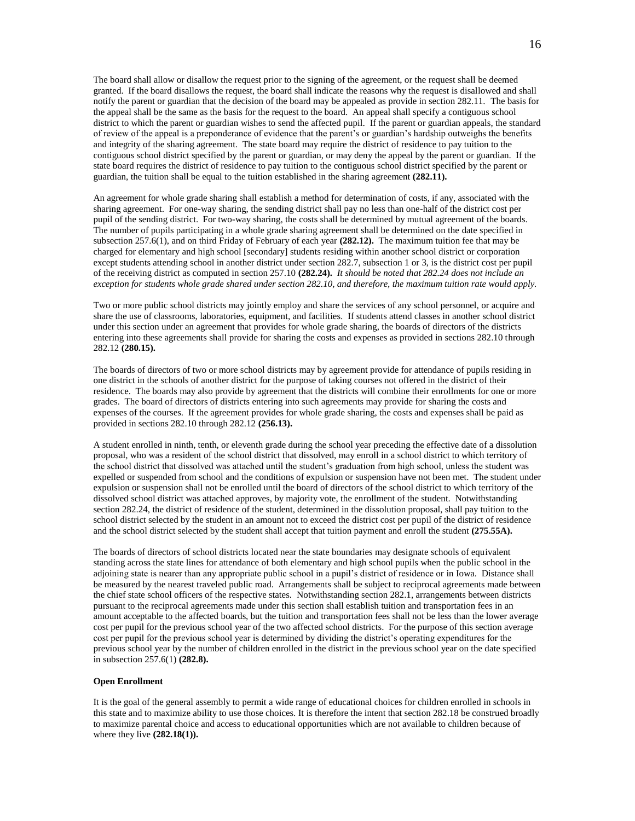The board shall allow or disallow the request prior to the signing of the agreement, or the request shall be deemed granted. If the board disallows the request, the board shall indicate the reasons why the request is disallowed and shall notify the parent or guardian that the decision of the board may be appealed as provide in section 282.11. The basis for the appeal shall be the same as the basis for the request to the board. An appeal shall specify a contiguous school district to which the parent or guardian wishes to send the affected pupil. If the parent or guardian appeals, the standard of review of the appeal is a preponderance of evidence that the parent's or guardian's hardship outweighs the benefits and integrity of the sharing agreement. The state board may require the district of residence to pay tuition to the contiguous school district specified by the parent or guardian, or may deny the appeal by the parent or guardian. If the state board requires the district of residence to pay tuition to the contiguous school district specified by the parent or guardian, the tuition shall be equal to the tuition established in the sharing agreement **(282.11).**

An agreement for whole grade sharing shall establish a method for determination of costs, if any, associated with the sharing agreement. For one-way sharing, the sending district shall pay no less than one-half of the district cost per pupil of the sending district. For two-way sharing, the costs shall be determined by mutual agreement of the boards. The number of pupils participating in a whole grade sharing agreement shall be determined on the date specified in subsection 257.6(1), and on third Friday of February of each year **(282.12).** The maximum tuition fee that may be charged for elementary and high school [secondary] students residing within another school district or corporation except students attending school in another district under section 282.7, subsection 1 or 3, is the district cost per pupil of the receiving district as computed in section 257.10 **(282.24).** *It should be noted that 282.24 does not include an exception for students whole grade shared under section 282.10, and therefore, the maximum tuition rate would apply.*

Two or more public school districts may jointly employ and share the services of any school personnel, or acquire and share the use of classrooms, laboratories, equipment, and facilities. If students attend classes in another school district under this section under an agreement that provides for whole grade sharing, the boards of directors of the districts entering into these agreements shall provide for sharing the costs and expenses as provided in sections 282.10 through 282.12 **(280.15).** 

The boards of directors of two or more school districts may by agreement provide for attendance of pupils residing in one district in the schools of another district for the purpose of taking courses not offered in the district of their residence. The boards may also provide by agreement that the districts will combine their enrollments for one or more grades. The board of directors of districts entering into such agreements may provide for sharing the costs and expenses of the courses. If the agreement provides for whole grade sharing, the costs and expenses shall be paid as provided in sections 282.10 through 282.12 **(256.13).**

A student enrolled in ninth, tenth, or eleventh grade during the school year preceding the effective date of a dissolution proposal, who was a resident of the school district that dissolved, may enroll in a school district to which territory of the school district that dissolved was attached until the student's graduation from high school, unless the student was expelled or suspended from school and the conditions of expulsion or suspension have not been met. The student under expulsion or suspension shall not be enrolled until the board of directors of the school district to which territory of the dissolved school district was attached approves, by majority vote, the enrollment of the student. Notwithstanding section 282.24, the district of residence of the student, determined in the dissolution proposal, shall pay tuition to the school district selected by the student in an amount not to exceed the district cost per pupil of the district of residence and the school district selected by the student shall accept that tuition payment and enroll the student **(275.55A).**

The boards of directors of school districts located near the state boundaries may designate schools of equivalent standing across the state lines for attendance of both elementary and high school pupils when the public school in the adjoining state is nearer than any appropriate public school in a pupil's district of residence or in Iowa. Distance shall be measured by the nearest traveled public road. Arrangements shall be subject to reciprocal agreements made between the chief state school officers of the respective states. Notwithstanding section 282.1, arrangements between districts pursuant to the reciprocal agreements made under this section shall establish tuition and transportation fees in an amount acceptable to the affected boards, but the tuition and transportation fees shall not be less than the lower average cost per pupil for the previous school year of the two affected school districts. For the purpose of this section average cost per pupil for the previous school year is determined by dividing the district's operating expenditures for the previous school year by the number of children enrolled in the district in the previous school year on the date specified in subsection 257.6(1) **(282.8).**

#### **Open Enrollment**

It is the goal of the general assembly to permit a wide range of educational choices for children enrolled in schools in this state and to maximize ability to use those choices. It is therefore the intent that section 282.18 be construed broadly to maximize parental choice and access to educational opportunities which are not available to children because of where they live **(282.18(1)).**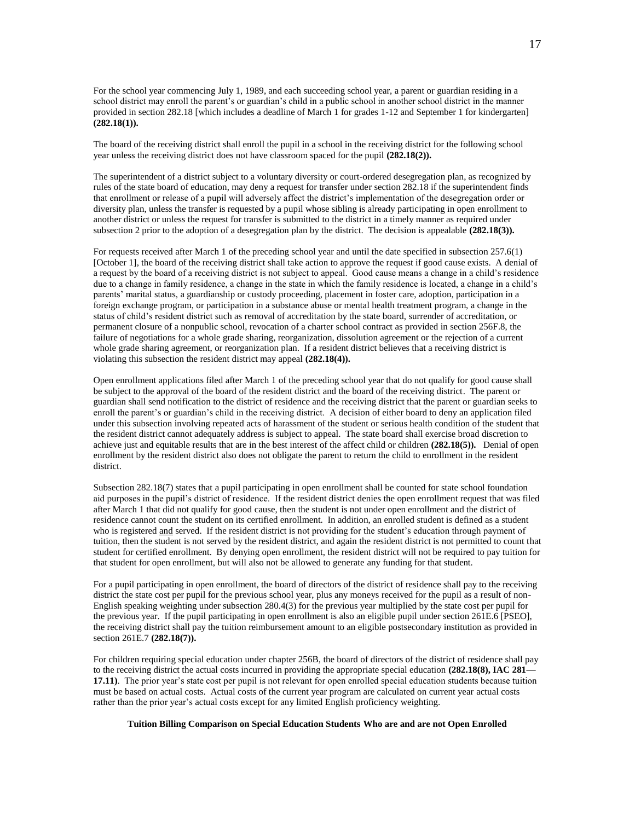For the school year commencing July 1, 1989, and each succeeding school year, a parent or guardian residing in a school district may enroll the parent's or guardian's child in a public school in another school district in the manner provided in section 282.18 [which includes a deadline of March 1 for grades 1-12 and September 1 for kindergarten] **(282.18(1)).**

The board of the receiving district shall enroll the pupil in a school in the receiving district for the following school year unless the receiving district does not have classroom spaced for the pupil **(282.18(2)).**

The superintendent of a district subject to a voluntary diversity or court-ordered desegregation plan, as recognized by rules of the state board of education, may deny a request for transfer under section 282.18 if the superintendent finds that enrollment or release of a pupil will adversely affect the district's implementation of the desegregation order or diversity plan, unless the transfer is requested by a pupil whose sibling is already participating in open enrollment to another district or unless the request for transfer is submitted to the district in a timely manner as required under subsection 2 prior to the adoption of a desegregation plan by the district. The decision is appealable **(282.18(3)).**

For requests received after March 1 of the preceding school year and until the date specified in subsection 257.6(1) [October 1], the board of the receiving district shall take action to approve the request if good cause exists. A denial of a request by the board of a receiving district is not subject to appeal. Good cause means a change in a child's residence due to a change in family residence, a change in the state in which the family residence is located, a change in a child's parents' marital status, a guardianship or custody proceeding, placement in foster care, adoption, participation in a foreign exchange program, or participation in a substance abuse or mental health treatment program, a change in the status of child's resident district such as removal of accreditation by the state board, surrender of accreditation, or permanent closure of a nonpublic school, revocation of a charter school contract as provided in section 256F.8, the failure of negotiations for a whole grade sharing, reorganization, dissolution agreement or the rejection of a current whole grade sharing agreement, or reorganization plan. If a resident district believes that a receiving district is violating this subsection the resident district may appeal **(282.18(4)).**

Open enrollment applications filed after March 1 of the preceding school year that do not qualify for good cause shall be subject to the approval of the board of the resident district and the board of the receiving district. The parent or guardian shall send notification to the district of residence and the receiving district that the parent or guardian seeks to enroll the parent's or guardian's child in the receiving district. A decision of either board to deny an application filed under this subsection involving repeated acts of harassment of the student or serious health condition of the student that the resident district cannot adequately address is subject to appeal. The state board shall exercise broad discretion to achieve just and equitable results that are in the best interest of the affect child or children **(282.18(5)).** Denial of open enrollment by the resident district also does not obligate the parent to return the child to enrollment in the resident district.

Subsection 282.18(7) states that a pupil participating in open enrollment shall be counted for state school foundation aid purposes in the pupil's district of residence. If the resident district denies the open enrollment request that was filed after March 1 that did not qualify for good cause, then the student is not under open enrollment and the district of residence cannot count the student on its certified enrollment. In addition, an enrolled student is defined as a student who is registered and served. If the resident district is not providing for the student's education through payment of tuition, then the student is not served by the resident district, and again the resident district is not permitted to count that student for certified enrollment. By denying open enrollment, the resident district will not be required to pay tuition for that student for open enrollment, but will also not be allowed to generate any funding for that student.

For a pupil participating in open enrollment, the board of directors of the district of residence shall pay to the receiving district the state cost per pupil for the previous school year, plus any moneys received for the pupil as a result of non-English speaking weighting under subsection 280.4(3) for the previous year multiplied by the state cost per pupil for the previous year. If the pupil participating in open enrollment is also an eligible pupil under section 261E.6 [PSEO], the receiving district shall pay the tuition reimbursement amount to an eligible postsecondary institution as provided in section 261E.7 **(282.18(7)).**

For children requiring special education under chapter 256B, the board of directors of the district of residence shall pay to the receiving district the actual costs incurred in providing the appropriate special education **(282.18(8), IAC 281— 17.11)**. The prior year's state cost per pupil is not relevant for open enrolled special education students because tuition must be based on actual costs. Actual costs of the current year program are calculated on current year actual costs rather than the prior year's actual costs except for any limited English proficiency weighting.

### **Tuition Billing Comparison on Special Education Students Who are and are not Open Enrolled**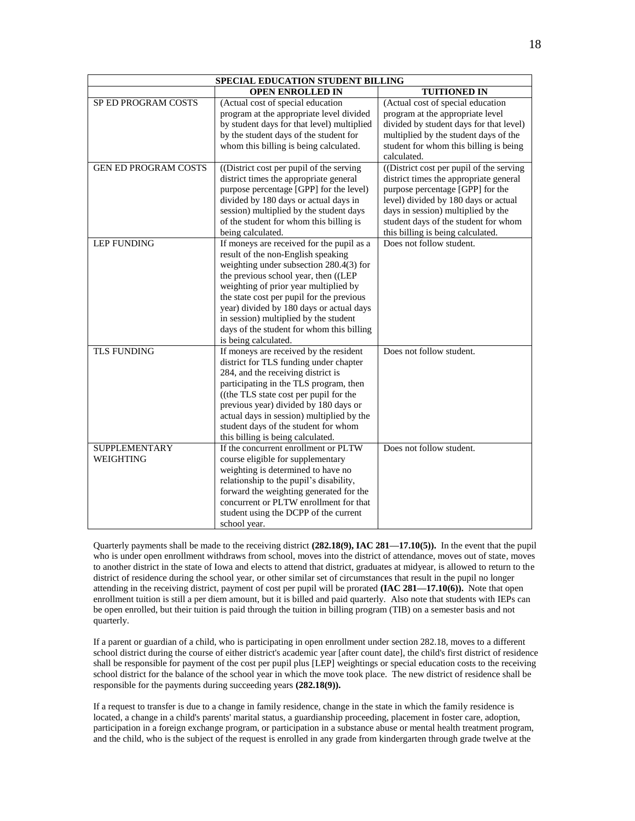| SPECIAL EDUCATION STUDENT BILLING |                                                                                                                                                                                                                                                                                                                                                                                                                    |                                                                                                                                                                                                                                                                                    |  |  |  |
|-----------------------------------|--------------------------------------------------------------------------------------------------------------------------------------------------------------------------------------------------------------------------------------------------------------------------------------------------------------------------------------------------------------------------------------------------------------------|------------------------------------------------------------------------------------------------------------------------------------------------------------------------------------------------------------------------------------------------------------------------------------|--|--|--|
|                                   | <b>OPEN ENROLLED IN</b>                                                                                                                                                                                                                                                                                                                                                                                            | <b>TUITIONED IN</b>                                                                                                                                                                                                                                                                |  |  |  |
| SP ED PROGRAM COSTS               | (Actual cost of special education<br>program at the appropriate level divided<br>by student days for that level) multiplied<br>by the student days of the student for<br>whom this billing is being calculated.                                                                                                                                                                                                    | (Actual cost of special education<br>program at the appropriate level<br>divided by student days for that level)<br>multiplied by the student days of the<br>student for whom this billing is being<br>calculated.                                                                 |  |  |  |
| <b>GEN ED PROGRAM COSTS</b>       | ((District cost per pupil of the serving<br>district times the appropriate general<br>purpose percentage [GPP] for the level)<br>divided by 180 days or actual days in<br>session) multiplied by the student days<br>of the student for whom this billing is<br>being calculated.                                                                                                                                  | ((District cost per pupil of the serving)<br>district times the appropriate general<br>purpose percentage [GPP] for the<br>level) divided by 180 days or actual<br>days in session) multiplied by the<br>student days of the student for whom<br>this billing is being calculated. |  |  |  |
| <b>LEP FUNDING</b>                | If moneys are received for the pupil as a<br>result of the non-English speaking<br>weighting under subsection 280.4(3) for<br>the previous school year, then ((LEP<br>weighting of prior year multiplied by<br>the state cost per pupil for the previous<br>year) divided by 180 days or actual days<br>in session) multiplied by the student<br>days of the student for whom this billing<br>is being calculated. | Does not follow student.                                                                                                                                                                                                                                                           |  |  |  |
| <b>TLS FUNDING</b>                | If moneys are received by the resident<br>district for TLS funding under chapter<br>284, and the receiving district is<br>participating in the TLS program, then<br>((the TLS state cost per pupil for the<br>previous year) divided by 180 days or<br>actual days in session) multiplied by the<br>student days of the student for whom<br>this billing is being calculated.                                      | Does not follow student.                                                                                                                                                                                                                                                           |  |  |  |
| <b>SUPPLEMENTARY</b><br>WEIGHTING | If the concurrent enrollment or PLTW<br>course eligible for supplementary<br>weighting is determined to have no<br>relationship to the pupil's disability,<br>forward the weighting generated for the<br>concurrent or PLTW enrollment for that<br>student using the DCPP of the current<br>school year.                                                                                                           | Does not follow student.                                                                                                                                                                                                                                                           |  |  |  |

Quarterly payments shall be made to the receiving district **(282.18(9), IAC 281—17.10(5)).** In the event that the pupil who is under open enrollment withdraws from school, moves into the district of attendance, moves out of state, moves to another district in the state of Iowa and elects to attend that district, graduates at midyear, is allowed to return to the district of residence during the school year, or other similar set of circumstances that result in the pupil no longer attending in the receiving district, payment of cost per pupil will be prorated **(IAC 281—17.10(6)).** Note that open enrollment tuition is still a per diem amount, but it is billed and paid quarterly. Also note that students with IEPs can be open enrolled, but their tuition is paid through the tuition in billing program (TIB) on a semester basis and not quarterly.

If a parent or guardian of a child, who is participating in open enrollment under section 282.18, moves to a different school district during the course of either district's academic year [after count date], the child's first district of residence shall be responsible for payment of the cost per pupil plus [LEP] weightings or special education costs to the receiving school district for the balance of the school year in which the move took place. The new district of residence shall be responsible for the payments during succeeding years **(282.18(9)).**

If a request to transfer is due to a change in family residence, change in the state in which the family residence is located, a change in a child's parents' marital status, a guardianship proceeding, placement in foster care, adoption, participation in a foreign exchange program, or participation in a substance abuse or mental health treatment program, and the child, who is the subject of the request is enrolled in any grade from kindergarten through grade twelve at the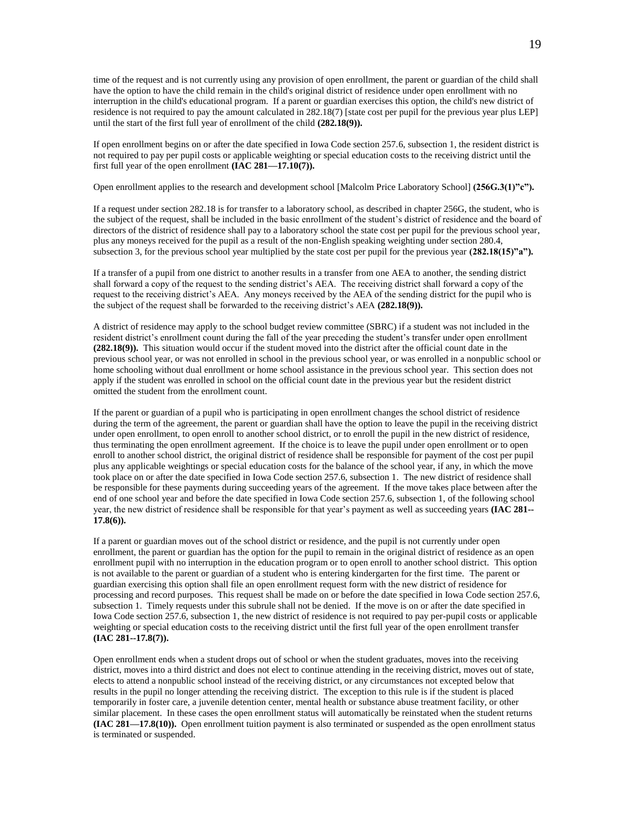time of the request and is not currently using any provision of open enrollment, the parent or guardian of the child shall have the option to have the child remain in the child's original district of residence under open enrollment with no interruption in the child's educational program. If a parent or guardian exercises this option, the child's new district of residence is not required to pay the amount calculated in 282.18(7) [state cost per pupil for the previous year plus LEP] until the start of the first full year of enrollment of the child **(282.18(9)).**

If open enrollment begins on or after the date specified in Iowa Code section 257.6, subsection 1, the resident district is not required to pay per pupil costs or applicable weighting or special education costs to the receiving district until the first full year of the open enrollment **(IAC 281—17.10(7)).**

### Open enrollment applies to the research and development school [Malcolm Price Laboratory School] **(256G.3(1)"c").**

If a request under section 282.18 is for transfer to a laboratory school, as described in chapter 256G, the student, who is the subject of the request, shall be included in the basic enrollment of the student's district of residence and the board of directors of the district of residence shall pay to a laboratory school the state cost per pupil for the previous school year, plus any moneys received for the pupil as a result of the non-English speaking weighting under section 280.4, subsection 3, for the previous school year multiplied by the state cost per pupil for the previous year **(282.18(15)"a").**

If a transfer of a pupil from one district to another results in a transfer from one AEA to another, the sending district shall forward a copy of the request to the sending district's AEA. The receiving district shall forward a copy of the request to the receiving district's AEA. Any moneys received by the AEA of the sending district for the pupil who is the subject of the request shall be forwarded to the receiving district's AEA **(282.18(9)).**

A district of residence may apply to the school budget review committee (SBRC) if a student was not included in the resident district's enrollment count during the fall of the year preceding the student's transfer under open enrollment **(282.18(9)).** This situation would occur if the student moved into the district after the official count date in the previous school year, or was not enrolled in school in the previous school year, or was enrolled in a nonpublic school or home schooling without dual enrollment or home school assistance in the previous school year. This section does not apply if the student was enrolled in school on the official count date in the previous year but the resident district omitted the student from the enrollment count.

If the parent or guardian of a pupil who is participating in open enrollment changes the school district of residence during the term of the agreement, the parent or guardian shall have the option to leave the pupil in the receiving district under open enrollment, to open enroll to another school district, or to enroll the pupil in the new district of residence, thus terminating the open enrollment agreement. If the choice is to leave the pupil under open enrollment or to open enroll to another school district, the original district of residence shall be responsible for payment of the cost per pupil plus any applicable weightings or special education costs for the balance of the school year, if any, in which the move took place on or after the date specified in Iowa Code section 257.6, subsection 1. The new district of residence shall be responsible for these payments during succeeding years of the agreement. If the move takes place between after the end of one school year and before the date specified in Iowa Code section 257.6, subsection 1, of the following school year, the new district of residence shall be responsible for that year's payment as well as succeeding years **(IAC 281-- 17.8(6)).**

If a parent or guardian moves out of the school district or residence, and the pupil is not currently under open enrollment, the parent or guardian has the option for the pupil to remain in the original district of residence as an open enrollment pupil with no interruption in the education program or to open enroll to another school district. This option is not available to the parent or guardian of a student who is entering kindergarten for the first time. The parent or guardian exercising this option shall file an open enrollment request form with the new district of residence for processing and record purposes. This request shall be made on or before the date specified in Iowa Code section 257.6, subsection 1. Timely requests under this subrule shall not be denied. If the move is on or after the date specified in Iowa Code section 257.6, subsection 1, the new district of residence is not required to pay per-pupil costs or applicable weighting or special education costs to the receiving district until the first full year of the open enrollment transfer **(IAC 281--17.8(7)).**

Open enrollment ends when a student drops out of school or when the student graduates, moves into the receiving district, moves into a third district and does not elect to continue attending in the receiving district, moves out of state, elects to attend a nonpublic school instead of the receiving district, or any circumstances not excepted below that results in the pupil no longer attending the receiving district. The exception to this rule is if the student is placed temporarily in foster care, a juvenile detention center, mental health or substance abuse treatment facility, or other similar placement. In these cases the open enrollment status will automatically be reinstated when the student returns **(IAC 281—17.8(10)).** Open enrollment tuition payment is also terminated or suspended as the open enrollment status is terminated or suspended.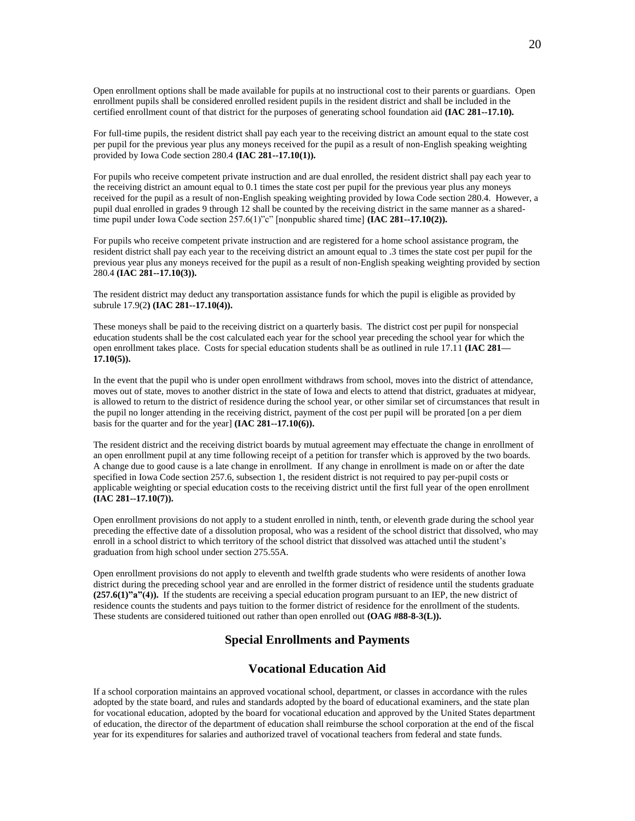Open enrollment options shall be made available for pupils at no instructional cost to their parents or guardians. Open enrollment pupils shall be considered enrolled resident pupils in the resident district and shall be included in the certified enrollment count of that district for the purposes of generating school foundation aid **(IAC 281--17.10).**

For full-time pupils, the resident district shall pay each year to the receiving district an amount equal to the state cost per pupil for the previous year plus any moneys received for the pupil as a result of non-English speaking weighting provided by Iowa Code section 280.4 **(IAC 281--17.10(1)).**

For pupils who receive competent private instruction and are dual enrolled, the resident district shall pay each year to the receiving district an amount equal to 0.1 times the state cost per pupil for the previous year plus any moneys received for the pupil as a result of non-English speaking weighting provided by Iowa Code section 280.4. However, a pupil dual enrolled in grades 9 through 12 shall be counted by the receiving district in the same manner as a sharedtime pupil under Iowa Code section 257.6(1)"c" [nonpublic shared time] **(IAC 281--17.10(2)).**

For pupils who receive competent private instruction and are registered for a home school assistance program, the resident district shall pay each year to the receiving district an amount equal to .3 times the state cost per pupil for the previous year plus any moneys received for the pupil as a result of non-English speaking weighting provided by section 280.4 **(IAC 281--17.10(3)).**

The resident district may deduct any transportation assistance funds for which the pupil is eligible as provided by subrule 17.9(2**) (IAC 281--17.10(4)).**

These moneys shall be paid to the receiving district on a quarterly basis. The district cost per pupil for nonspecial education students shall be the cost calculated each year for the school year preceding the school year for which the open enrollment takes place. Costs for special education students shall be as outlined in rule 17.11 **(IAC 281— 17.10(5)).**

In the event that the pupil who is under open enrollment withdraws from school, moves into the district of attendance, moves out of state, moves to another district in the state of Iowa and elects to attend that district, graduates at midyear, is allowed to return to the district of residence during the school year, or other similar set of circumstances that result in the pupil no longer attending in the receiving district, payment of the cost per pupil will be prorated [on a per diem basis for the quarter and for the year] **(IAC 281--17.10(6)).**

The resident district and the receiving district boards by mutual agreement may effectuate the change in enrollment of an open enrollment pupil at any time following receipt of a petition for transfer which is approved by the two boards. A change due to good cause is a late change in enrollment. If any change in enrollment is made on or after the date specified in Iowa Code section 257.6, subsection 1, the resident district is not required to pay per-pupil costs or applicable weighting or special education costs to the receiving district until the first full year of the open enrollment **(IAC 281--17.10(7)).**

Open enrollment provisions do not apply to a student enrolled in ninth, tenth, or eleventh grade during the school year preceding the effective date of a dissolution proposal, who was a resident of the school district that dissolved, who may enroll in a school district to which territory of the school district that dissolved was attached until the student's graduation from high school under section 275.55A.

Open enrollment provisions do not apply to eleventh and twelfth grade students who were residents of another Iowa district during the preceding school year and are enrolled in the former district of residence until the students graduate **(257.6(1)"a"(4)).** If the students are receiving a special education program pursuant to an IEP, the new district of residence counts the students and pays tuition to the former district of residence for the enrollment of the students. These students are considered tuitioned out rather than open enrolled out **(OAG #88-8-3(L)).**

# **Special Enrollments and Payments**

### **Vocational Education Aid**

If a school corporation maintains an approved vocational school, department, or classes in accordance with the rules adopted by the state board, and rules and standards adopted by the board of educational examiners, and the state plan for vocational education, adopted by the board for vocational education and approved by the United States department of education, the director of the department of education shall reimburse the school corporation at the end of the fiscal year for its expenditures for salaries and authorized travel of vocational teachers from federal and state funds.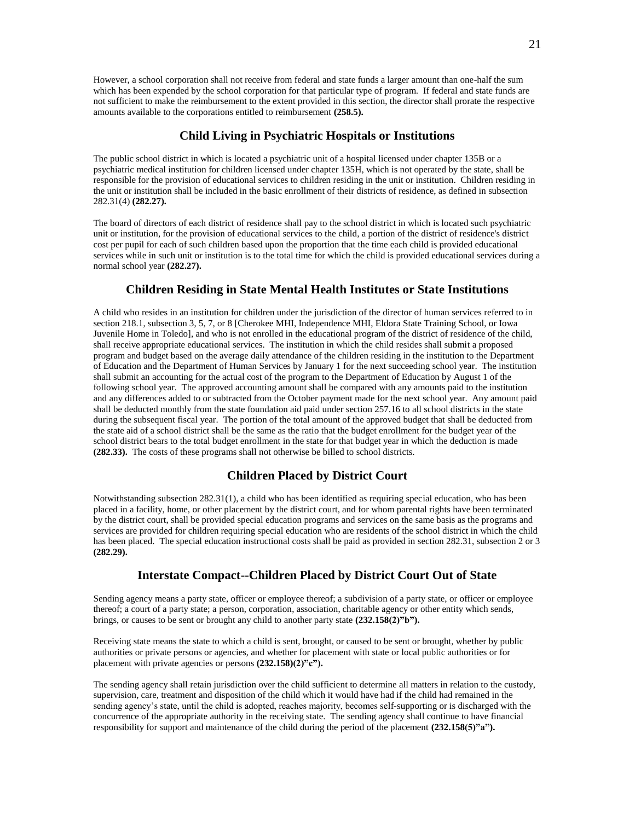However, a school corporation shall not receive from federal and state funds a larger amount than one-half the sum which has been expended by the school corporation for that particular type of program. If federal and state funds are not sufficient to make the reimbursement to the extent provided in this section, the director shall prorate the respective amounts available to the corporations entitled to reimbursement **(258.5).**

## **Child Living in Psychiatric Hospitals or Institutions**

The public school district in which is located a psychiatric unit of a hospital licensed under chapter 135B or a psychiatric medical institution for children licensed under chapter 135H, which is not operated by the state, shall be responsible for the provision of educational services to children residing in the unit or institution. Children residing in the unit or institution shall be included in the basic enrollment of their districts of residence, as defined in subsection 282.31(4) **(282.27).**

The board of directors of each district of residence shall pay to the school district in which is located such psychiatric unit or institution, for the provision of educational services to the child, a portion of the district of residence's district cost per pupil for each of such children based upon the proportion that the time each child is provided educational services while in such unit or institution is to the total time for which the child is provided educational services during a normal school year **(282.27).**

### **Children Residing in State Mental Health Institutes or State Institutions**

A child who resides in an institution for children under the jurisdiction of the director of human services referred to in section 218.1, subsection 3, 5, 7, or 8 [Cherokee MHI, Independence MHI, Eldora State Training School, or Iowa Juvenile Home in Toledo], and who is not enrolled in the educational program of the district of residence of the child, shall receive appropriate educational services. The institution in which the child resides shall submit a proposed program and budget based on the average daily attendance of the children residing in the institution to the Department of Education and the Department of Human Services by January 1 for the next succeeding school year. The institution shall submit an accounting for the actual cost of the program to the Department of Education by August 1 of the following school year. The approved accounting amount shall be compared with any amounts paid to the institution and any differences added to or subtracted from the October payment made for the next school year. Any amount paid shall be deducted monthly from the state foundation aid paid under section 257.16 to all school districts in the state during the subsequent fiscal year. The portion of the total amount of the approved budget that shall be deducted from the state aid of a school district shall be the same as the ratio that the budget enrollment for the budget year of the school district bears to the total budget enrollment in the state for that budget year in which the deduction is made **(282.33).** The costs of these programs shall not otherwise be billed to school districts.

### **Children Placed by District Court**

Notwithstanding subsection 282.31(1), a child who has been identified as requiring special education, who has been placed in a facility, home, or other placement by the district court, and for whom parental rights have been terminated by the district court, shall be provided special education programs and services on the same basis as the programs and services are provided for children requiring special education who are residents of the school district in which the child has been placed. The special education instructional costs shall be paid as provided in section 282.31, subsection 2 or 3 **(282.29).**

## **Interstate Compact--Children Placed by District Court Out of State**

Sending agency means a party state, officer or employee thereof; a subdivision of a party state, or officer or employee thereof; a court of a party state; a person, corporation, association, charitable agency or other entity which sends, brings, or causes to be sent or brought any child to another party state **(232.158(2)"b").**

Receiving state means the state to which a child is sent, brought, or caused to be sent or brought, whether by public authorities or private persons or agencies, and whether for placement with state or local public authorities or for placement with private agencies or persons **(232.158)(2)"c").**

The sending agency shall retain jurisdiction over the child sufficient to determine all matters in relation to the custody, supervision, care, treatment and disposition of the child which it would have had if the child had remained in the sending agency's state, until the child is adopted, reaches majority, becomes self-supporting or is discharged with the concurrence of the appropriate authority in the receiving state. The sending agency shall continue to have financial responsibility for support and maintenance of the child during the period of the placement **(232.158(5)"a").**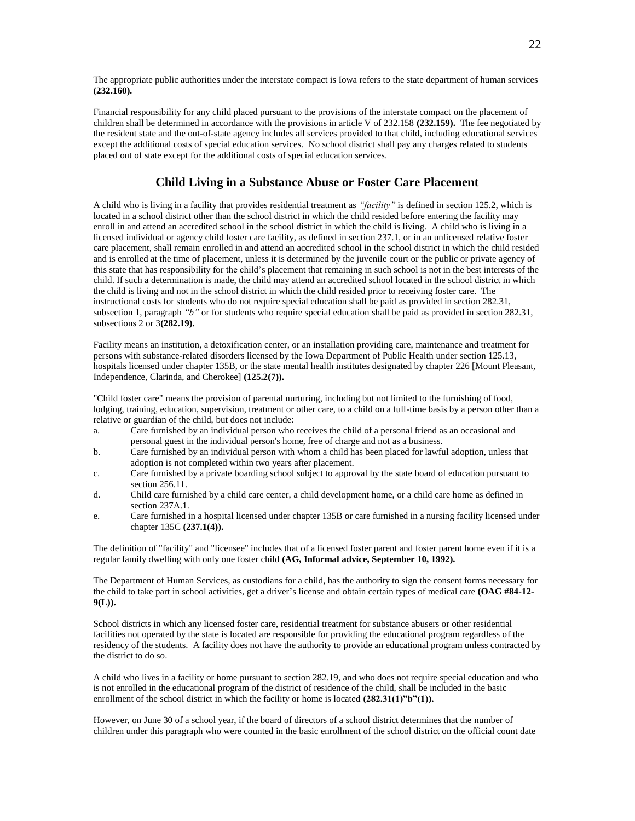The appropriate public authorities under the interstate compact is Iowa refers to the state department of human services **(232.160).**

Financial responsibility for any child placed pursuant to the provisions of the interstate compact on the placement of children shall be determined in accordance with the provisions in article V of 232.158 **(232.159).** The fee negotiated by the resident state and the out-of-state agency includes all services provided to that child, including educational services except the additional costs of special education services. No school district shall pay any charges related to students placed out of state except for the additional costs of special education services.

## **Child Living in a Substance Abuse or Foster Care Placement**

A child who is living in a facility that provides residential treatment as *"facility"* is defined in section 125.2, which is located in a school district other than the school district in which the child resided before entering the facility may enroll in and attend an accredited school in the school district in which the child is living. A child who is living in a licensed individual or agency child foster care facility, as defined in section 237.1, or in an unlicensed relative foster care placement, shall remain enrolled in and attend an accredited school in the school district in which the child resided and is enrolled at the time of placement, unless it is determined by the juvenile court or the public or private agency of this state that has responsibility for the child's placement that remaining in such school is not in the best interests of the child. If such a determination is made, the child may attend an accredited school located in the school district in which the child is living and not in the school district in which the child resided prior to receiving foster care. The instructional costs for students who do not require special education shall be paid as provided in section 282.31, subsection 1, paragraph *"b"* or for students who require special education shall be paid as provided in section 282.31, subsections 2 or 3**(282.19).**

Facility means an institution, a detoxification center, or an installation providing care, maintenance and treatment for persons with substance-related disorders licensed by the Iowa Department of Public Health under section 125.13, hospitals licensed under chapter 135B, or the state mental health institutes designated by chapter 226 [Mount Pleasant, Independence, Clarinda, and Cherokee] **(125.2(7)).**

"Child foster care" means the provision of parental nurturing, including but not limited to the furnishing of food, lodging, training, education, supervision, treatment or other care, to a child on a full-time basis by a person other than a relative or guardian of the child, but does not include:

- a. Care furnished by an individual person who receives the child of a personal friend as an occasional and personal guest in the individual person's home, free of charge and not as a business.
- b. Care furnished by an individual person with whom a child has been placed for lawful adoption, unless that adoption is not completed within two years after placement.
- c. Care furnished by a private boarding school subject to approval by the state board of education pursuant to section 256.11.
- d. Child care furnished by a child care center, a child development home, or a child care home as defined in section 237A.1.
- e. Care furnished in a hospital licensed under chapter 135B or care furnished in a nursing facility licensed under chapter 135C **(237.1(4)).**

The definition of "facility" and "licensee" includes that of a licensed foster parent and foster parent home even if it is a regular family dwelling with only one foster child **(AG, Informal advice, September 10, 1992).**

The Department of Human Services, as custodians for a child, has the authority to sign the consent forms necessary for the child to take part in school activities, get a driver's license and obtain certain types of medical care **(OAG #84-12- 9(L)).**

School districts in which any licensed foster care, residential treatment for substance abusers or other residential facilities not operated by the state is located are responsible for providing the educational program regardless of the residency of the students. A facility does not have the authority to provide an educational program unless contracted by the district to do so.

A child who lives in a facility or home pursuant to section 282.19, and who does not require special education and who is not enrolled in the educational program of the district of residence of the child, shall be included in the basic enrollment of the school district in which the facility or home is located  $(282.31(1)^{n}b^{n}(1))$ .

However, on June 30 of a school year, if the board of directors of a school district determines that the number of children under this paragraph who were counted in the basic enrollment of the school district on the official count date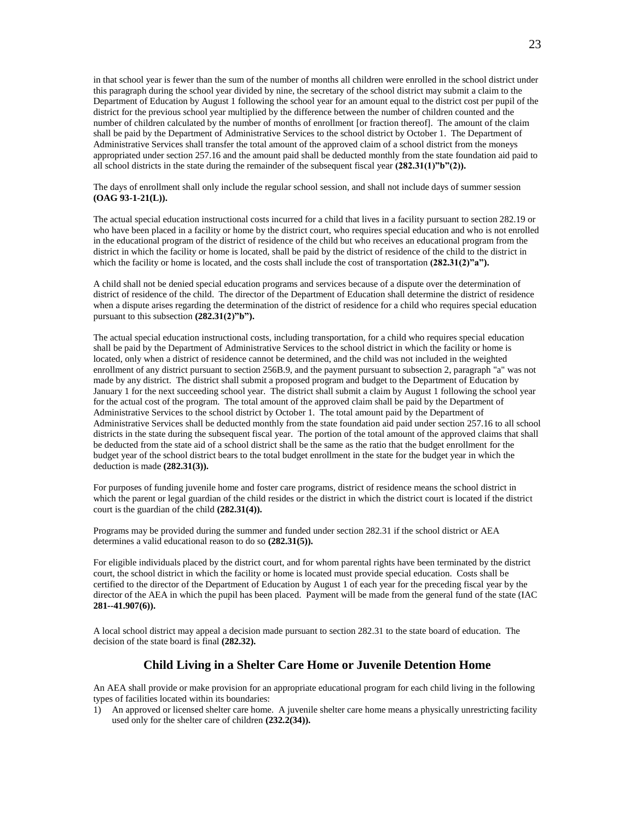in that school year is fewer than the sum of the number of months all children were enrolled in the school district under this paragraph during the school year divided by nine, the secretary of the school district may submit a claim to the Department of Education by August 1 following the school year for an amount equal to the district cost per pupil of the district for the previous school year multiplied by the difference between the number of children counted and the number of children calculated by the number of months of enrollment [or fraction thereof]. The amount of the claim shall be paid by the Department of Administrative Services to the school district by October 1. The Department of Administrative Services shall transfer the total amount of the approved claim of a school district from the moneys appropriated under section 257.16 and the amount paid shall be deducted monthly from the state foundation aid paid to all school districts in the state during the remainder of the subsequent fiscal year **(282.31(1)"b"(2)).**

The days of enrollment shall only include the regular school session, and shall not include days of summer session **(OAG 93-1-21(L)).**

The actual special education instructional costs incurred for a child that lives in a facility pursuant to section 282.19 or who have been placed in a facility or home by the district court, who requires special education and who is not enrolled in the educational program of the district of residence of the child but who receives an educational program from the district in which the facility or home is located, shall be paid by the district of residence of the child to the district in which the facility or home is located, and the costs shall include the cost of transportation **(282.31(2)"a").** 

A child shall not be denied special education programs and services because of a dispute over the determination of district of residence of the child. The director of the Department of Education shall determine the district of residence when a dispute arises regarding the determination of the district of residence for a child who requires special education pursuant to this subsection **(282.31(2)"b").**

The actual special education instructional costs, including transportation, for a child who requires special education shall be paid by the Department of Administrative Services to the school district in which the facility or home is located, only when a district of residence cannot be determined, and the child was not included in the weighted enrollment of any district pursuant to section 256B.9, and the payment pursuant to subsection 2, paragraph "a" was not made by any district. The district shall submit a proposed program and budget to the Department of Education by January 1 for the next succeeding school year. The district shall submit a claim by August 1 following the school year for the actual cost of the program. The total amount of the approved claim shall be paid by the Department of Administrative Services to the school district by October 1. The total amount paid by the Department of Administrative Services shall be deducted monthly from the state foundation aid paid under section 257.16 to all school districts in the state during the subsequent fiscal year. The portion of the total amount of the approved claims that shall be deducted from the state aid of a school district shall be the same as the ratio that the budget enrollment for the budget year of the school district bears to the total budget enrollment in the state for the budget year in which the deduction is made **(282.31(3)).**

For purposes of funding juvenile home and foster care programs, district of residence means the school district in which the parent or legal guardian of the child resides or the district in which the district court is located if the district court is the guardian of the child **(282.31(4)).**

Programs may be provided during the summer and funded under section 282.31 if the school district or AEA determines a valid educational reason to do so **(282.31(5)).**

For eligible individuals placed by the district court, and for whom parental rights have been terminated by the district court, the school district in which the facility or home is located must provide special education. Costs shall be certified to the director of the Department of Education by August 1 of each year for the preceding fiscal year by the director of the AEA in which the pupil has been placed. Payment will be made from the general fund of the state (IAC **281--41.907(6)).**

A local school district may appeal a decision made pursuant to section 282.31 to the state board of education. The decision of the state board is final **(282.32).**

### **Child Living in a Shelter Care Home or Juvenile Detention Home**

An AEA shall provide or make provision for an appropriate educational program for each child living in the following types of facilities located within its boundaries:

1) An approved or licensed shelter care home. A juvenile shelter care home means a physically unrestricting facility used only for the shelter care of children **(232.2(34)).**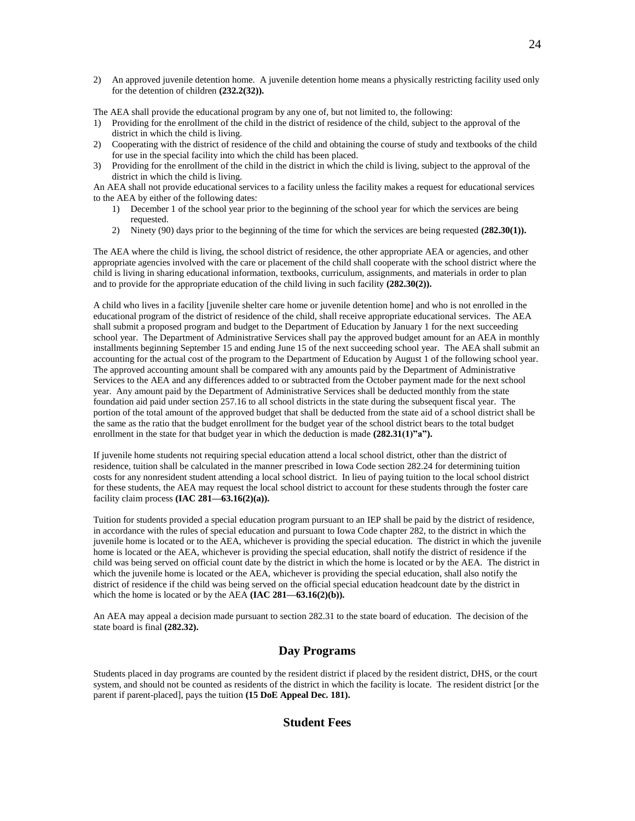2) An approved juvenile detention home. A juvenile detention home means a physically restricting facility used only for the detention of children **(232.2(32)).**

The AEA shall provide the educational program by any one of, but not limited to, the following:

- 1) Providing for the enrollment of the child in the district of residence of the child, subject to the approval of the district in which the child is living.
- 2) Cooperating with the district of residence of the child and obtaining the course of study and textbooks of the child for use in the special facility into which the child has been placed.
- 3) Providing for the enrollment of the child in the district in which the child is living, subject to the approval of the district in which the child is living.

An AEA shall not provide educational services to a facility unless the facility makes a request for educational services to the AEA by either of the following dates:

- 1) December 1 of the school year prior to the beginning of the school year for which the services are being requested.
- 2) Ninety (90) days prior to the beginning of the time for which the services are being requested **(282.30(1)).**

The AEA where the child is living, the school district of residence, the other appropriate AEA or agencies, and other appropriate agencies involved with the care or placement of the child shall cooperate with the school district where the child is living in sharing educational information, textbooks, curriculum, assignments, and materials in order to plan and to provide for the appropriate education of the child living in such facility **(282.30(2)).**

A child who lives in a facility [juvenile shelter care home or juvenile detention home] and who is not enrolled in the educational program of the district of residence of the child, shall receive appropriate educational services. The AEA shall submit a proposed program and budget to the Department of Education by January 1 for the next succeeding school year. The Department of Administrative Services shall pay the approved budget amount for an AEA in monthly installments beginning September 15 and ending June 15 of the next succeeding school year. The AEA shall submit an accounting for the actual cost of the program to the Department of Education by August 1 of the following school year. The approved accounting amount shall be compared with any amounts paid by the Department of Administrative Services to the AEA and any differences added to or subtracted from the October payment made for the next school year. Any amount paid by the Department of Administrative Services shall be deducted monthly from the state foundation aid paid under section 257.16 to all school districts in the state during the subsequent fiscal year. The portion of the total amount of the approved budget that shall be deducted from the state aid of a school district shall be the same as the ratio that the budget enrollment for the budget year of the school district bears to the total budget enrollment in the state for that budget year in which the deduction is made  $(282.31(1)$ "a").

If juvenile home students not requiring special education attend a local school district, other than the district of residence, tuition shall be calculated in the manner prescribed in Iowa Code section 282.24 for determining tuition costs for any nonresident student attending a local school district. In lieu of paying tuition to the local school district for these students, the AEA may request the local school district to account for these students through the foster care facility claim process **(IAC 281—63.16(2)(a)).**

Tuition for students provided a special education program pursuant to an IEP shall be paid by the district of residence, in accordance with the rules of special education and pursuant to Iowa Code chapter 282, to the district in which the juvenile home is located or to the AEA, whichever is providing the special education. The district in which the juvenile home is located or the AEA, whichever is providing the special education, shall notify the district of residence if the child was being served on official count date by the district in which the home is located or by the AEA. The district in which the juvenile home is located or the AEA, whichever is providing the special education, shall also notify the district of residence if the child was being served on the official special education headcount date by the district in which the home is located or by the AEA **(IAC 281—63.16(2)(b)).** 

An AEA may appeal a decision made pursuant to section 282.31 to the state board of education. The decision of the state board is final **(282.32).**

### **Day Programs**

Students placed in day programs are counted by the resident district if placed by the resident district, DHS, or the court system, and should not be counted as residents of the district in which the facility is locate. The resident district [or the parent if parent-placed], pays the tuition **(15 DoE Appeal Dec. 181).**

### **Student Fees**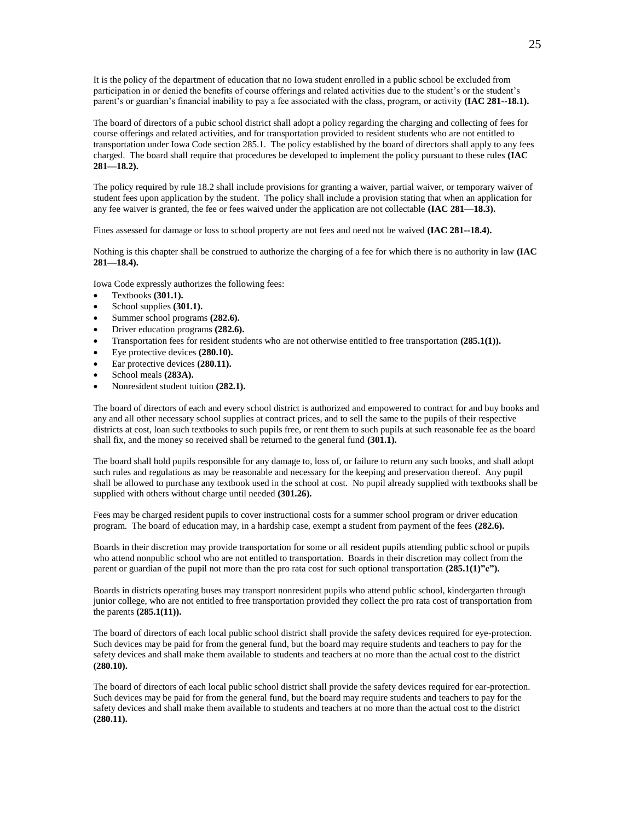It is the policy of the department of education that no Iowa student enrolled in a public school be excluded from participation in or denied the benefits of course offerings and related activities due to the student's or the student's parent's or guardian's financial inability to pay a fee associated with the class, program, or activity **(IAC 281--18.1).**

The board of directors of a pubic school district shall adopt a policy regarding the charging and collecting of fees for course offerings and related activities, and for transportation provided to resident students who are not entitled to transportation under Iowa Code section 285.1. The policy established by the board of directors shall apply to any fees charged. The board shall require that procedures be developed to implement the policy pursuant to these rules **(IAC 281—18.2).**

The policy required by rule 18.2 shall include provisions for granting a waiver, partial waiver, or temporary waiver of student fees upon application by the student. The policy shall include a provision stating that when an application for any fee waiver is granted, the fee or fees waived under the application are not collectable **(IAC 281—18.3).**

Fines assessed for damage or loss to school property are not fees and need not be waived **(IAC 281--18.4).**

Nothing is this chapter shall be construed to authorize the charging of a fee for which there is no authority in law **(IAC 281—18.4).**

Iowa Code expressly authorizes the following fees:

- Textbooks **(301.1).**
- School supplies **(301.1).**
- Summer school programs **(282.6).**
- Driver education programs **(282.6).**
- Transportation fees for resident students who are not otherwise entitled to free transportation **(285.1(1)).**
- Eye protective devices **(280.10).**
- Ear protective devices **(280.11).**
- School meals **(283A).**
- Nonresident student tuition **(282.1).**

The board of directors of each and every school district is authorized and empowered to contract for and buy books and any and all other necessary school supplies at contract prices, and to sell the same to the pupils of their respective districts at cost, loan such textbooks to such pupils free, or rent them to such pupils at such reasonable fee as the board shall fix, and the money so received shall be returned to the general fund **(301.1).**

The board shall hold pupils responsible for any damage to, loss of, or failure to return any such books, and shall adopt such rules and regulations as may be reasonable and necessary for the keeping and preservation thereof. Any pupil shall be allowed to purchase any textbook used in the school at cost. No pupil already supplied with textbooks shall be supplied with others without charge until needed **(301.26).**

Fees may be charged resident pupils to cover instructional costs for a summer school program or driver education program. The board of education may, in a hardship case, exempt a student from payment of the fees **(282.6).**

Boards in their discretion may provide transportation for some or all resident pupils attending public school or pupils who attend nonpublic school who are not entitled to transportation. Boards in their discretion may collect from the parent or guardian of the pupil not more than the pro rata cost for such optional transportation  $(285.1(1)$ "c").

Boards in districts operating buses may transport nonresident pupils who attend public school, kindergarten through junior college, who are not entitled to free transportation provided they collect the pro rata cost of transportation from the parents **(285.1(11)).**

The board of directors of each local public school district shall provide the safety devices required for eye-protection. Such devices may be paid for from the general fund, but the board may require students and teachers to pay for the safety devices and shall make them available to students and teachers at no more than the actual cost to the district **(280.10).**

The board of directors of each local public school district shall provide the safety devices required for ear-protection. Such devices may be paid for from the general fund, but the board may require students and teachers to pay for the safety devices and shall make them available to students and teachers at no more than the actual cost to the district **(280.11).**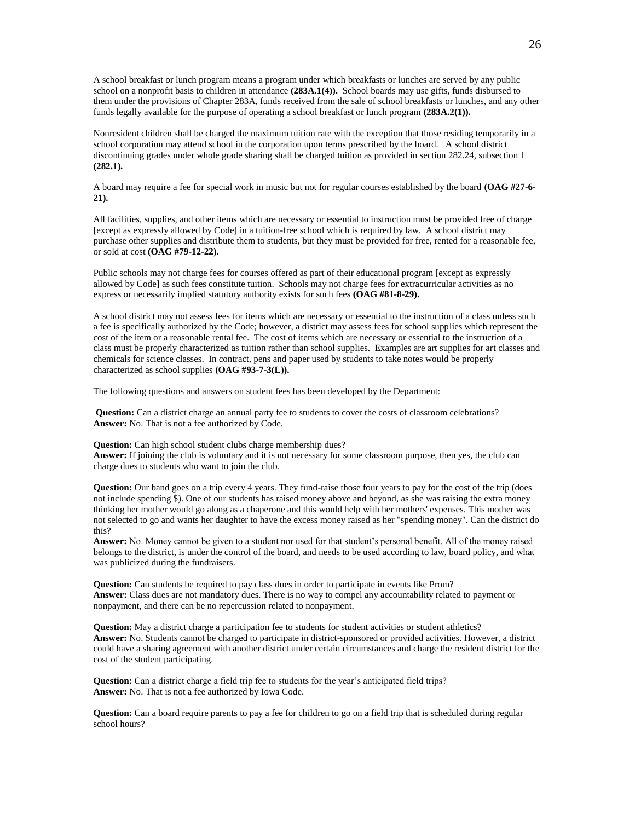A school breakfast or lunch program means a program under which breakfasts or lunches are served by any public school on a nonprofit basis to children in attendance **(283A.1(4)).** School boards may use gifts, funds disbursed to them under the provisions of Chapter 283A, funds received from the sale of school breakfasts or lunches, and any other funds legally available for the purpose of operating a school breakfast or lunch program **(283A.2(1)).**

Nonresident children shall be charged the maximum tuition rate with the exception that those residing temporarily in a school corporation may attend school in the corporation upon terms prescribed by the board. A school district discontinuing grades under whole grade sharing shall be charged tuition as provided in section 282.24, subsection 1 **(282.1).**

A board may require a fee for special work in music but not for regular courses established by the board **(OAG #27-6- 21).**

All facilities, supplies, and other items which are necessary or essential to instruction must be provided free of charge [except as expressly allowed by Code] in a tuition-free school which is required by law. A school district may purchase other supplies and distribute them to students, but they must be provided for free, rented for a reasonable fee, or sold at cost **(OAG #79-12-22).**

Public schools may not charge fees for courses offered as part of their educational program [except as expressly allowed by Code] as such fees constitute tuition. Schools may not charge fees for extracurricular activities as no express or necessarily implied statutory authority exists for such fees **(OAG #81-8-29).**

A school district may not assess fees for items which are necessary or essential to the instruction of a class unless such a fee is specifically authorized by the Code; however, a district may assess fees for school supplies which represent the cost of the item or a reasonable rental fee. The cost of items which are necessary or essential to the instruction of a class must be properly characterized as tuition rather than school supplies. Examples are art supplies for art classes and chemicals for science classes. In contract, pens and paper used by students to take notes would be properly characterized as school supplies **(OAG #93-7-3(L)).**

The following questions and answers on student fees has been developed by the Department:

**Question:** Can a district charge an annual party fee to students to cover the costs of classroom celebrations? **Answer:** No. That is not a fee authorized by Code.

**Question:** Can high school student clubs charge membership dues?

**Answer:** If joining the club is voluntary and it is not necessary for some classroom purpose, then yes, the club can charge dues to students who want to join the club.

**Question:** Our band goes on a trip every 4 years. They fund-raise those four years to pay for the cost of the trip (does not include spending \$). One of our students has raised money above and beyond, as she was raising the extra money thinking her mother would go along as a chaperone and this would help with her mothers' expenses. This mother was not selected to go and wants her daughter to have the excess money raised as her "spending money". Can the district do this?

**Answer:** No. Money cannot be given to a student nor used for that student's personal benefit. All of the money raised belongs to the district, is under the control of the board, and needs to be used according to law, board policy, and what was publicized during the fundraisers.

**Question:** Can students be required to pay class dues in order to participate in events like Prom? **Answer:** Class dues are not mandatory dues. There is no way to compel any accountability related to payment or nonpayment, and there can be no repercussion related to nonpayment.

**Question:** May a district charge a participation fee to students for student activities or student athletics? **Answer:** No. Students cannot be charged to participate in district-sponsored or provided activities. However, a district could have a sharing agreement with another district under certain circumstances and charge the resident district for the cost of the student participating.

**Question:** Can a district charge a field trip fee to students for the year's anticipated field trips? **Answer:** No. That is not a fee authorized by Iowa Code.

**Question:** Can a board require parents to pay a fee for children to go on a field trip that is scheduled during regular school hours?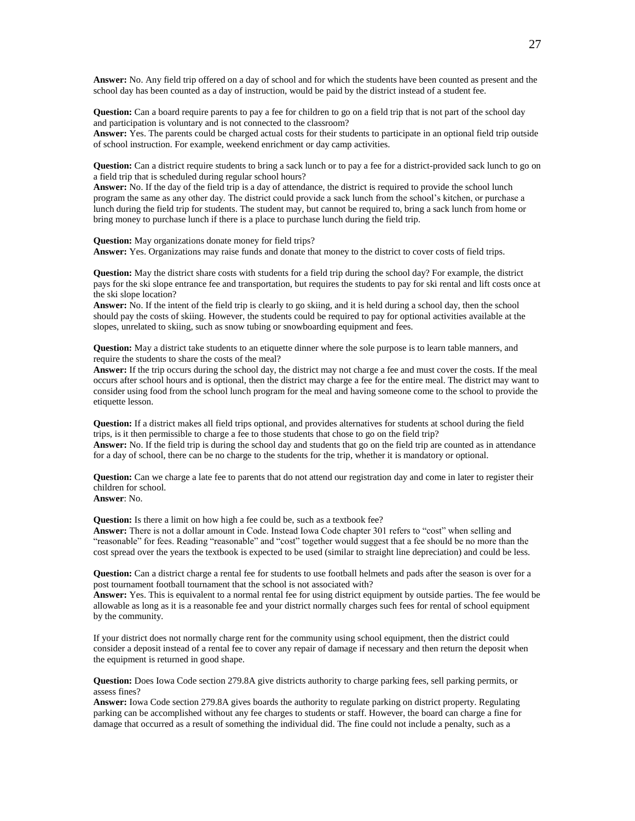**Answer:** No. Any field trip offered on a day of school and for which the students have been counted as present and the school day has been counted as a day of instruction, would be paid by the district instead of a student fee.

**Question:** Can a board require parents to pay a fee for children to go on a field trip that is not part of the school day and participation is voluntary and is not connected to the classroom?

**Answer:** Yes. The parents could be charged actual costs for their students to participate in an optional field trip outside of school instruction. For example, weekend enrichment or day camp activities.

**Question:** Can a district require students to bring a sack lunch or to pay a fee for a district-provided sack lunch to go on a field trip that is scheduled during regular school hours?

**Answer:** No. If the day of the field trip is a day of attendance, the district is required to provide the school lunch program the same as any other day. The district could provide a sack lunch from the school's kitchen, or purchase a lunch during the field trip for students. The student may, but cannot be required to, bring a sack lunch from home or bring money to purchase lunch if there is a place to purchase lunch during the field trip.

**Question:** May organizations donate money for field trips? **Answer:** Yes. Organizations may raise funds and donate that money to the district to cover costs of field trips.

**Question:** May the district share costs with students for a field trip during the school day? For example, the district pays for the ski slope entrance fee and transportation, but requires the students to pay for ski rental and lift costs once at the ski slope location?

**Answer:** No. If the intent of the field trip is clearly to go skiing, and it is held during a school day, then the school should pay the costs of skiing. However, the students could be required to pay for optional activities available at the slopes, unrelated to skiing, such as snow tubing or snowboarding equipment and fees.

**Question:** May a district take students to an etiquette dinner where the sole purpose is to learn table manners, and require the students to share the costs of the meal?

**Answer:** If the trip occurs during the school day, the district may not charge a fee and must cover the costs. If the meal occurs after school hours and is optional, then the district may charge a fee for the entire meal. The district may want to consider using food from the school lunch program for the meal and having someone come to the school to provide the etiquette lesson.

**Question:** If a district makes all field trips optional, and provides alternatives for students at school during the field trips, is it then permissible to charge a fee to those students that chose to go on the field trip? **Answer:** No. If the field trip is during the school day and students that go on the field trip are counted as in attendance for a day of school, there can be no charge to the students for the trip, whether it is mandatory or optional.

**Question:** Can we charge a late fee to parents that do not attend our registration day and come in later to register their children for school.

**Answer**: No.

**Question:** Is there a limit on how high a fee could be, such as a textbook fee?

**Answer:** There is not a dollar amount in Code. Instead Iowa Code chapter 301 refers to "cost" when selling and "reasonable" for fees. Reading "reasonable" and "cost" together would suggest that a fee should be no more than the cost spread over the years the textbook is expected to be used (similar to straight line depreciation) and could be less.

**Question:** Can a district charge a rental fee for students to use football helmets and pads after the season is over for a post tournament football tournament that the school is not associated with?

**Answer:** Yes. This is equivalent to a normal rental fee for using district equipment by outside parties. The fee would be allowable as long as it is a reasonable fee and your district normally charges such fees for rental of school equipment by the community.

If your district does not normally charge rent for the community using school equipment, then the district could consider a deposit instead of a rental fee to cover any repair of damage if necessary and then return the deposit when the equipment is returned in good shape.

**Question:** Does Iowa Code section 279.8A give districts authority to charge parking fees, sell parking permits, or assess fines?

**Answer:** Iowa Code section 279.8A gives boards the authority to regulate parking on district property. Regulating parking can be accomplished without any fee charges to students or staff. However, the board can charge a fine for damage that occurred as a result of something the individual did. The fine could not include a penalty, such as a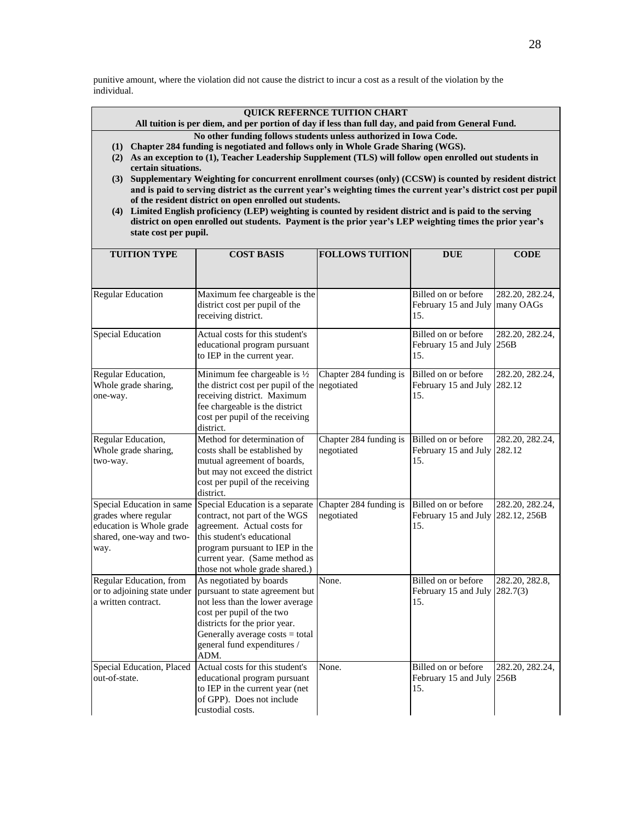punitive amount, where the violation did not cause the district to incur a cost as a result of the violation by the individual.

### **QUICK REFERNCE TUITION CHART**

**All tuition is per diem, and per portion of day if less than full day, and paid from General Fund.**

**No other funding follows students unless authorized in Iowa Code.**

- **(1) Chapter 284 funding is negotiated and follows only in Whole Grade Sharing (WGS).**
- **(2) As an exception to (1), Teacher Leadership Supplement (TLS) will follow open enrolled out students in certain situations.**
- **(3) Supplementary Weighting for concurrent enrollment courses (only) (CCSW) is counted by resident district and is paid to serving district as the current year's weighting times the current year's district cost per pupil of the resident district on open enrolled out students.**
- **(4) Limited English proficiency (LEP) weighting is counted by resident district and is paid to the serving district on open enrolled out students. Payment is the prior year's LEP weighting times the prior year's state cost per pupil.**

| <b>TUITION TYPE</b>                                                                                               | <b>COST BASIS</b>                                                                                                                                                                                                                     | <b>FOLLOWS TUITION</b>               | <b>DUE</b>                                                      | <b>CODE</b>     |
|-------------------------------------------------------------------------------------------------------------------|---------------------------------------------------------------------------------------------------------------------------------------------------------------------------------------------------------------------------------------|--------------------------------------|-----------------------------------------------------------------|-----------------|
|                                                                                                                   |                                                                                                                                                                                                                                       |                                      |                                                                 |                 |
| <b>Regular Education</b>                                                                                          | Maximum fee chargeable is the<br>district cost per pupil of the<br>receiving district.                                                                                                                                                |                                      | Billed on or before<br>February 15 and July   many OAGs<br>15.  | 282.20, 282.24, |
| <b>Special Education</b>                                                                                          | Actual costs for this student's<br>educational program pursuant<br>to IEP in the current year.                                                                                                                                        |                                      | Billed on or before<br>February 15 and July 256B<br>15.         | 282.20, 282.24, |
| Regular Education,<br>Whole grade sharing,<br>one-way.                                                            | Minimum fee chargeable is 1/2<br>the district cost per pupil of the<br>receiving district. Maximum<br>fee chargeable is the district<br>cost per pupil of the receiving<br>district.                                                  | Chapter 284 funding is<br>negotiated | Billed on or before<br>February 15 and July 282.12<br>15.       | 282.20, 282.24, |
| Regular Education,<br>Whole grade sharing,<br>two-way.                                                            | Method for determination of<br>costs shall be established by<br>mutual agreement of boards,<br>but may not exceed the district<br>cost per pupil of the receiving<br>district.                                                        | Chapter 284 funding is<br>negotiated | Billed on or before<br>February 15 and July 282.12<br>15.       | 282.20, 282.24, |
| Special Education in same<br>grades where regular<br>education is Whole grade<br>shared, one-way and two-<br>way. | Special Education is a separate<br>contract, not part of the WGS<br>agreement. Actual costs for<br>this student's educational<br>program pursuant to IEP in the<br>current year. (Same method as<br>those not whole grade shared.)    | Chapter 284 funding is<br>negotiated | Billed on or before<br>February 15 and July 282.12, 256B<br>15. | 282.20, 282.24, |
| Regular Education, from<br>or to adjoining state under<br>a written contract.                                     | As negotiated by boards<br>pursuant to state agreement but<br>not less than the lower average<br>cost per pupil of the two<br>districts for the prior year.<br>Generally average costs = total<br>general fund expenditures /<br>ADM. | None.                                | Billed on or before<br>February 15 and July $282.7(3)$<br>15.   | 282.20, 282.8,  |
| Special Education, Placed<br>out-of-state.                                                                        | Actual costs for this student's<br>educational program pursuant<br>to IEP in the current year (net<br>of GPP). Does not include<br>custodial costs.                                                                                   | None.                                | Billed on or before<br>February 15 and July 256B<br>15.         | 282.20, 282.24, |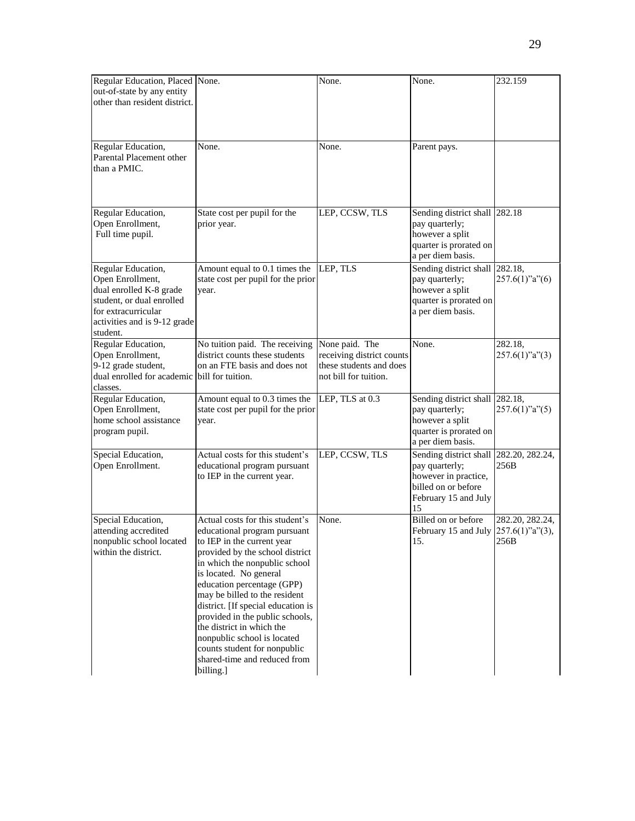| Regular Education, Placed None.<br>out-of-state by any entity<br>other than resident district.                                                                    |                                                                                                                                                                                                                                                                                                                                                                                                                                                                              | None.                                                                                           | None.                                                                                                                 | 232.159                                           |
|-------------------------------------------------------------------------------------------------------------------------------------------------------------------|------------------------------------------------------------------------------------------------------------------------------------------------------------------------------------------------------------------------------------------------------------------------------------------------------------------------------------------------------------------------------------------------------------------------------------------------------------------------------|-------------------------------------------------------------------------------------------------|-----------------------------------------------------------------------------------------------------------------------|---------------------------------------------------|
| Regular Education,<br>Parental Placement other<br>than a PMIC.                                                                                                    | None.                                                                                                                                                                                                                                                                                                                                                                                                                                                                        | None.                                                                                           | Parent pays.                                                                                                          |                                                   |
| Regular Education,<br>Open Enrollment,<br>Full time pupil.                                                                                                        | State cost per pupil for the<br>prior year.                                                                                                                                                                                                                                                                                                                                                                                                                                  | LEP, CCSW, TLS                                                                                  | Sending district shall<br>pay quarterly;<br>however a split<br>quarter is prorated on<br>a per diem basis.            | 282.18                                            |
| Regular Education,<br>Open Enrollment,<br>dual enrolled K-8 grade<br>student, or dual enrolled<br>for extracurricular<br>activities and is 9-12 grade<br>student. | Amount equal to 0.1 times the<br>state cost per pupil for the prior<br>year.                                                                                                                                                                                                                                                                                                                                                                                                 | LEP, TLS                                                                                        | Sending district shall 282.18,<br>pay quarterly;<br>however a split<br>quarter is prorated on<br>a per diem basis.    | $257.6(1)$ "a" $(6)$                              |
| Regular Education,<br>Open Enrollment,<br>9-12 grade student,<br>dual enrolled for academic<br>classes.                                                           | No tuition paid. The receiving<br>district counts these students<br>on an FTE basis and does not<br>bill for tuition.                                                                                                                                                                                                                                                                                                                                                        | None paid. The<br>receiving district counts<br>these students and does<br>not bill for tuition. | None.                                                                                                                 | 282.18,<br>$257.6(1)$ "a" $(3)$                   |
| Regular Education,<br>Open Enrollment,<br>home school assistance<br>program pupil.                                                                                | Amount equal to 0.3 times the<br>state cost per pupil for the prior<br>year.                                                                                                                                                                                                                                                                                                                                                                                                 | LEP, TLS at $0.3$                                                                               | Sending district shall 282.18,<br>pay quarterly;<br>however a split<br>quarter is prorated on<br>a per diem basis.    | $257.6(1)$ "a" $(5)$                              |
| Special Education,<br>Open Enrollment.                                                                                                                            | Actual costs for this student's<br>educational program pursuant<br>to IEP in the current year.                                                                                                                                                                                                                                                                                                                                                                               | LEP, CCSW, TLS                                                                                  | Sending district shall<br>pay quarterly;<br>however in practice,<br>billed on or before<br>February 15 and July<br>15 | 282.20, 282.24,<br>256B                           |
| Special Education,<br>attending accredited<br>nonpublic school located<br>within the district.                                                                    | Actual costs for this student's<br>educational program pursuant<br>to IEP in the current year<br>provided by the school district<br>in which the nonpublic school<br>is located. No general<br>education percentage (GPP)<br>may be billed to the resident<br>district. [If special education is<br>provided in the public schools,<br>the district in which the<br>nonpublic school is located<br>counts student for nonpublic<br>shared-time and reduced from<br>billing.] | None.                                                                                           | Billed on or before<br>February 15 and July<br>15.                                                                    | 282.20, 282.24,<br>$257.6(1)$ "a" $(3)$ ,<br>256B |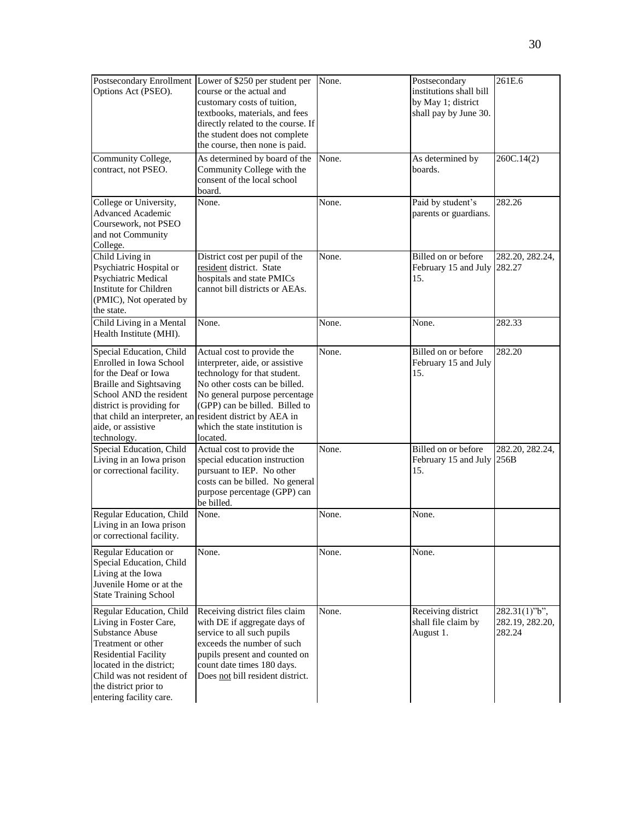| Options Act (PSEO).                                                                                                                                                                                                                     | Postsecondary Enrollment Lower of \$250 per student per<br>course or the actual and<br>customary costs of tuition,<br>textbooks, materials, and fees<br>directly related to the course. If<br>the student does not complete<br>the course, then none is paid.                                                | None. | Postsecondary<br>institutions shall bill<br>by May 1; district<br>shall pay by June 30. | 261E.6                                     |
|-----------------------------------------------------------------------------------------------------------------------------------------------------------------------------------------------------------------------------------------|--------------------------------------------------------------------------------------------------------------------------------------------------------------------------------------------------------------------------------------------------------------------------------------------------------------|-------|-----------------------------------------------------------------------------------------|--------------------------------------------|
| Community College,<br>contract, not PSEO.                                                                                                                                                                                               | As determined by board of the<br>Community College with the<br>consent of the local school<br>board.                                                                                                                                                                                                         | None. | As determined by<br>boards.                                                             | 260C.14(2)                                 |
| College or University,<br><b>Advanced Academic</b><br>Coursework, not PSEO<br>and not Community<br>College.                                                                                                                             | None.                                                                                                                                                                                                                                                                                                        | None. | Paid by student's<br>parents or guardians.                                              | 282.26                                     |
| Child Living in<br>Psychiatric Hospital or<br>Psychiatric Medical<br>Institute for Children<br>(PMIC), Not operated by<br>the state.                                                                                                    | District cost per pupil of the<br>resident district. State<br>hospitals and state PMICs<br>cannot bill districts or AEAs.                                                                                                                                                                                    | None. | Billed on or before<br>February 15 and July 282.27<br>15.                               | 282.20, 282.24,                            |
| Child Living in a Mental<br>Health Institute (MHI).                                                                                                                                                                                     | None.                                                                                                                                                                                                                                                                                                        | None. | None.                                                                                   | 282.33                                     |
| Special Education, Child<br>Enrolled in Iowa School<br>for the Deaf or Iowa<br><b>Braille and Sightsaving</b><br>School AND the resident<br>district is providing for<br>aide, or assistive<br>technology.                              | Actual cost to provide the<br>interpreter, aide, or assistive<br>technology for that student.<br>No other costs can be billed.<br>No general purpose percentage<br>(GPP) can be billed. Billed to<br>that child an interpreter, an resident district by AEA in<br>which the state institution is<br>located. | None. | Billed on or before<br>February 15 and July<br>15.                                      | 282.20                                     |
| Special Education, Child<br>Living in an Iowa prison<br>or correctional facility.                                                                                                                                                       | Actual cost to provide the<br>special education instruction<br>pursuant to IEP. No other<br>costs can be billed. No general<br>purpose percentage (GPP) can<br>be billed.                                                                                                                                    | None. | Billed on or before<br>February 15 and July<br>15.                                      | 282.20, 282.24,<br>256B                    |
| Regular Education, Child<br>Living in an Iowa prison<br>or correctional facility.                                                                                                                                                       | None.                                                                                                                                                                                                                                                                                                        | None. | None.                                                                                   |                                            |
| Regular Education or<br>Special Education, Child<br>Living at the Iowa<br>Juvenile Home or at the<br><b>State Training School</b>                                                                                                       | None.                                                                                                                                                                                                                                                                                                        | None. | None.                                                                                   |                                            |
| Regular Education, Child<br>Living in Foster Care,<br>Substance Abuse<br>Treatment or other<br><b>Residential Facility</b><br>located in the district:<br>Child was not resident of<br>the district prior to<br>entering facility care. | Receiving district files claim<br>with DE if aggregate days of<br>service to all such pupils<br>exceeds the number of such<br>pupils present and counted on<br>count date times 180 days.<br>Does not bill resident district.                                                                                | None. | Receiving district<br>shall file claim by<br>August 1.                                  | 282.31(1)"b",<br>282.19, 282.20,<br>282.24 |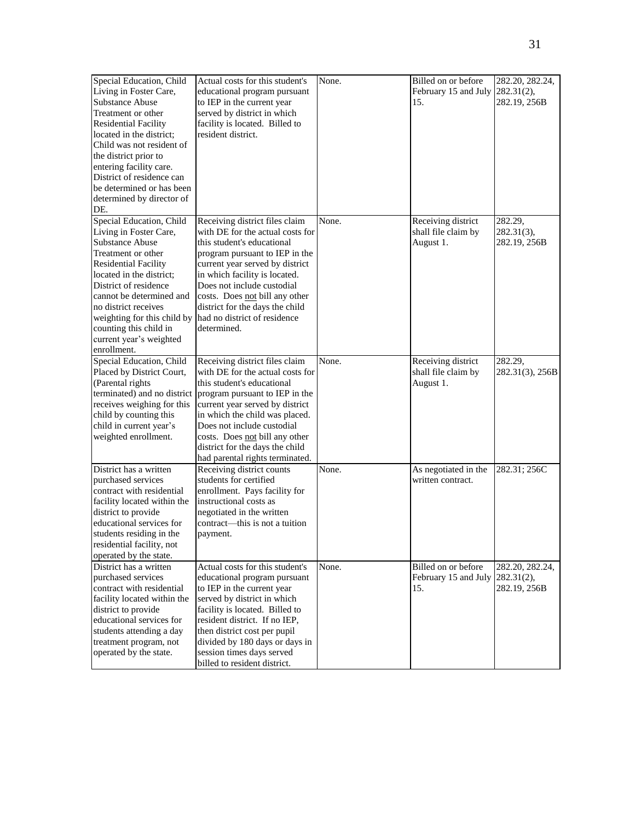| Special Education, Child<br>Living in Foster Care,<br><b>Substance Abuse</b><br>Treatment or other<br><b>Residential Facility</b><br>located in the district;<br>Child was not resident of<br>the district prior to<br>entering facility care.<br>District of residence can<br>be determined or has been<br>determined by director of<br>DE.  | Actual costs for this student's<br>educational program pursuant<br>to IEP in the current year<br>served by district in which<br>facility is located. Billed to<br>resident district.                                                                                                                                                                                      | None. | Billed on or before<br>February 15 and July 282.31(2),<br>15. | 282.20, 282.24,<br>282.19, 256B               |
|-----------------------------------------------------------------------------------------------------------------------------------------------------------------------------------------------------------------------------------------------------------------------------------------------------------------------------------------------|---------------------------------------------------------------------------------------------------------------------------------------------------------------------------------------------------------------------------------------------------------------------------------------------------------------------------------------------------------------------------|-------|---------------------------------------------------------------|-----------------------------------------------|
| Special Education, Child<br>Living in Foster Care,<br><b>Substance Abuse</b><br>Treatment or other<br><b>Residential Facility</b><br>located in the district;<br>District of residence<br>cannot be determined and<br>no district receives<br>weighting for this child by<br>counting this child in<br>current year's weighted<br>enrollment. | Receiving district files claim<br>with DE for the actual costs for<br>this student's educational<br>program pursuant to IEP in the<br>current year served by district<br>in which facility is located.<br>Does not include custodial<br>costs. Does not bill any other<br>district for the days the child<br>had no district of residence<br>determined.                  | None. | Receiving district<br>shall file claim by<br>August 1.        | 282.29,<br>$282.31(3)$ ,<br>282.19, 256B      |
| Special Education, Child<br>Placed by District Court,<br>(Parental rights<br>receives weighing for this<br>child by counting this<br>child in current year's<br>weighted enrollment.                                                                                                                                                          | Receiving district files claim<br>with DE for the actual costs for<br>this student's educational<br>terminated) and no district program pursuant to IEP in the<br>current year served by district<br>in which the child was placed.<br>Does not include custodial<br>costs. Does not bill any other<br>district for the days the child<br>had parental rights terminated. | None. | Receiving district<br>shall file claim by<br>August 1.        | 282.29,<br>282.31(3), 256B                    |
| District has a written<br>purchased services<br>contract with residential<br>facility located within the<br>district to provide<br>educational services for<br>students residing in the<br>residential facility, not<br>operated by the state.                                                                                                | Receiving district counts<br>students for certified<br>enrollment. Pays facility for<br>instructional costs as<br>negotiated in the written<br>contract—this is not a tuition<br>payment.                                                                                                                                                                                 | None. | As negotiated in the<br>written contract.                     | 282.31; 256C                                  |
| District has a written<br>purchased services<br>contract with residential<br>facility located within the<br>district to provide<br>educational services for<br>students attending a day<br>treatment program, not<br>operated by the state.                                                                                                   | Actual costs for this student's<br>educational program pursuant<br>to IEP in the current year<br>served by district in which<br>facility is located. Billed to<br>resident district. If no IEP,<br>then district cost per pupil<br>divided by 180 days or days in<br>session times days served<br>billed to resident district.                                            | None. | Billed on or before<br>February 15 and July<br>15.            | 282.20, 282.24,<br>282.31(2),<br>282.19, 256B |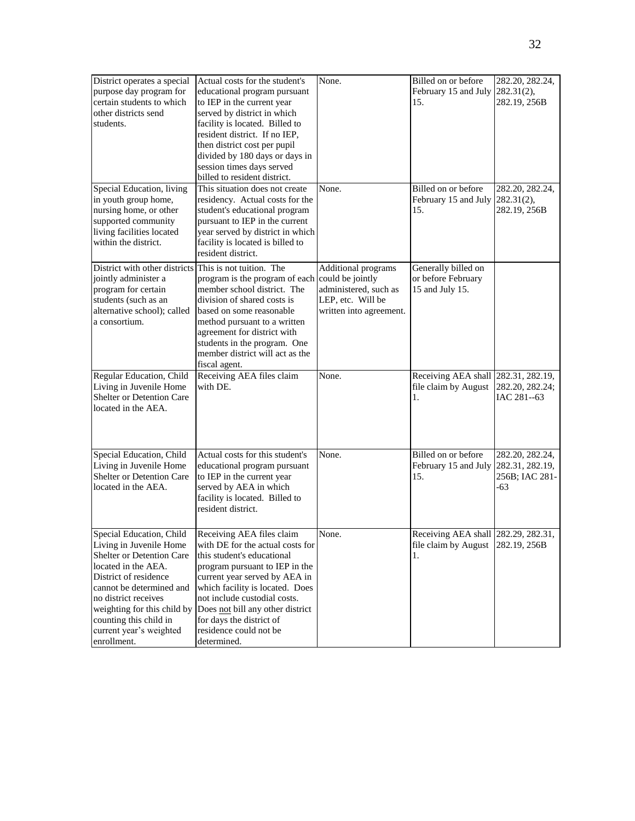| District operates a special<br>purpose day program for<br>certain students to which<br>other districts send<br>students.<br>Special Education, living                                                                                                                                   | Actual costs for the student's<br>educational program pursuant<br>to IEP in the current year<br>served by district in which<br>facility is located. Billed to<br>resident district. If no IEP,<br>then district cost per pupil<br>divided by 180 days or days in<br>session times days served<br>billed to resident district.<br>This situation does not create | None.<br>None.                                                                                                   | Billed on or before<br>February 15 and July<br>15.<br>Billed on or before      | 282.20, 282.24,<br>282.31(2),<br>282.19, 256B<br>282.20, 282.24, |
|-----------------------------------------------------------------------------------------------------------------------------------------------------------------------------------------------------------------------------------------------------------------------------------------|-----------------------------------------------------------------------------------------------------------------------------------------------------------------------------------------------------------------------------------------------------------------------------------------------------------------------------------------------------------------|------------------------------------------------------------------------------------------------------------------|--------------------------------------------------------------------------------|------------------------------------------------------------------|
| in youth group home,<br>nursing home, or other<br>supported community<br>living facilities located<br>within the district.                                                                                                                                                              | residency. Actual costs for the<br>student's educational program<br>pursuant to IEP in the current<br>year served by district in which<br>facility is located is billed to<br>resident district.                                                                                                                                                                |                                                                                                                  | February 15 and July<br>15.                                                    | 282.31(2),<br>282.19, 256B                                       |
| District with other districts This is not tuition. The<br>jointly administer a<br>program for certain<br>students (such as an<br>alternative school); called<br>a consortium.                                                                                                           | program is the program of each<br>member school district. The<br>division of shared costs is<br>based on some reasonable<br>method pursuant to a written<br>agreement for district with<br>students in the program. One<br>member district will act as the<br>fiscal agent.                                                                                     | Additional programs<br>could be jointly<br>administered, such as<br>LEP, etc. Will be<br>written into agreement. | Generally billed on<br>or before February<br>15 and July 15.                   |                                                                  |
| Regular Education, Child<br>Living in Juvenile Home<br>Shelter or Detention Care<br>located in the AEA.                                                                                                                                                                                 | Receiving AEA files claim<br>with DE.                                                                                                                                                                                                                                                                                                                           | None.                                                                                                            | Receiving AEA shall<br>file claim by August<br>1.                              | 282.31, 282.19,<br>282.20, 282.24;<br>IAC 281--63                |
| Special Education, Child<br>Living in Juvenile Home<br>Shelter or Detention Care<br>located in the AEA.                                                                                                                                                                                 | Actual costs for this student's<br>educational program pursuant<br>to IEP in the current year<br>served by AEA in which<br>facility is located. Billed to<br>resident district.                                                                                                                                                                                 | None.                                                                                                            | Billed on or before<br>February 15 and July<br>15.                             | 282.20, 282.24,<br>282.31, 282.19,<br>256B; IAC 281-<br>-63      |
| Special Education, Child<br>Living in Juvenile Home<br>Shelter or Detention Care<br>located in the AEA.<br>District of residence<br>cannot be determined and<br>no district receives<br>weighting for this child by<br>counting this child in<br>current year's weighted<br>enrollment. | Receiving AEA files claim<br>with DE for the actual costs for<br>this student's educational<br>program pursuant to IEP in the<br>current year served by AEA in<br>which facility is located. Does<br>not include custodial costs.<br>Does not bill any other district<br>for days the district of<br>residence could not be<br>determined.                      | None.                                                                                                            | Receiving AEA shall 282.29, 282.31,<br>file claim by August 282.19, 256B<br>1. |                                                                  |